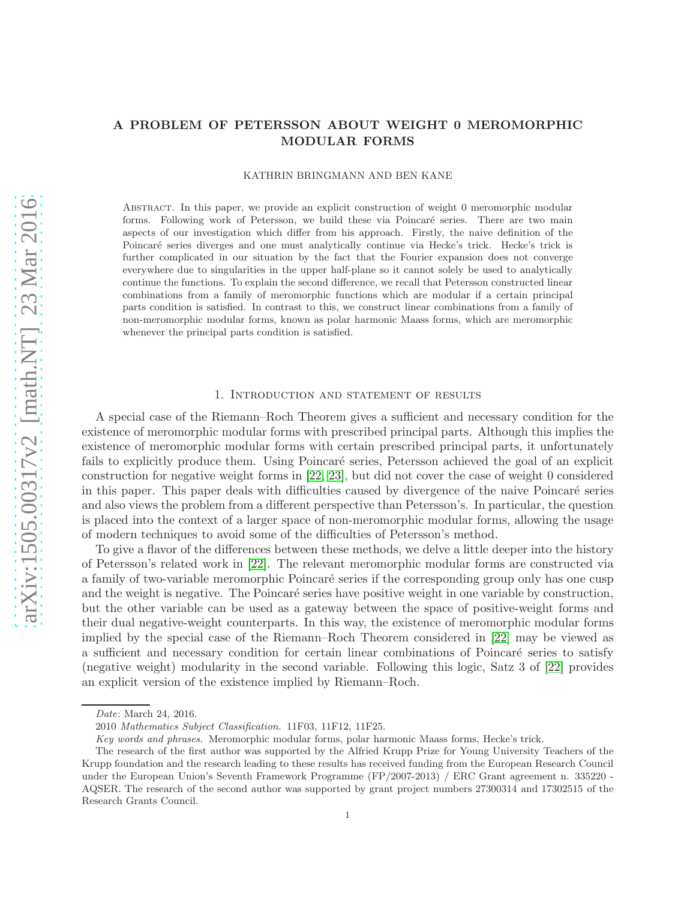# A PROBLEM OF PETERSSON ABOUT WEIGHT 0 MEROMORPHIC MODULAR FORMS

### KATHRIN BRINGMANN AND BEN KANE

Abstract. In this paper, we provide an explicit construction of weight 0 meromorphic modular forms. Following work of Petersson, we build these via Poincaré series. There are two main aspects of our investigation which differ from his approach. Firstly, the naive definition of the Poincaré series diverges and one must analytically continue via Hecke's trick. Hecke's trick is further complicated in our situation by the fact that the Fourier expansion does not converge everywhere due to singularities in the upper half-plane so it cannot solely be used to analytically continue the functions. To explain the second difference, we recall that Petersson constructed linear combinations from a family of meromorphic functions which are modular if a certain principal parts condition is satisfied. In contrast to this, we construct linear combinations from a family of non-meromorphic modular forms, known as polar harmonic Maass forms, which are meromorphic whenever the principal parts condition is satisfied.

#### 1. Introduction and statement of results

A special case of the Riemann–Roch Theorem gives a sufficient and necessary condition for the existence of meromorphic modular forms with prescribed principal parts. Although this implies the existence of meromorphic modular forms with certain prescribed principal parts, it unfortunately fails to explicitly produce them. Using Poincaré series, Petersson achieved the goal of an explicit construction for negative weight forms in [\[22,](#page-27-0) [23\]](#page-27-1), but did not cover the case of weight 0 considered in this paper. This paper deals with difficulties caused by divergence of the naive Poincaré series and also views the problem from a different perspective than Petersson's. In particular, the question is placed into the context of a larger space of non-meromorphic modular forms, allowing the usage of modern techniques to avoid some of the difficulties of Petersson's method.

To give a flavor of the differences between these methods, we delve a little deeper into the history of Petersson's related work in [\[22\]](#page-27-0). The relevant meromorphic modular forms are constructed via a family of two-variable meromorphic Poincaré series if the corresponding group only has one cusp and the weight is negative. The Poincaré series have positive weight in one variable by construction, but the other variable can be used as a gateway between the space of positive-weight forms and their dual negative-weight counterparts. In this way, the existence of meromorphic modular forms implied by the special case of the Riemann–Roch Theorem considered in [\[22\]](#page-27-0) may be viewed as a sufficient and necessary condition for certain linear combinations of Poincaré series to satisfy (negative weight) modularity in the second variable. Following this logic, Satz 3 of [\[22\]](#page-27-0) provides an explicit version of the existence implied by Riemann–Roch.

Date: March 24, 2016.

<sup>2010</sup> Mathematics Subject Classification. 11F03, 11F12, 11F25.

Key words and phrases. Meromorphic modular forms, polar harmonic Maass forms, Hecke's trick.

The research of the first author was supported by the Alfried Krupp Prize for Young University Teachers of the Krupp foundation and the research leading to these results has received funding from the European Research Council under the European Union's Seventh Framework Programme (FP/2007-2013) / ERC Grant agreement n. 335220 - AQSER. The research of the second author was supported by grant project numbers 27300314 and 17302515 of the Research Grants Council.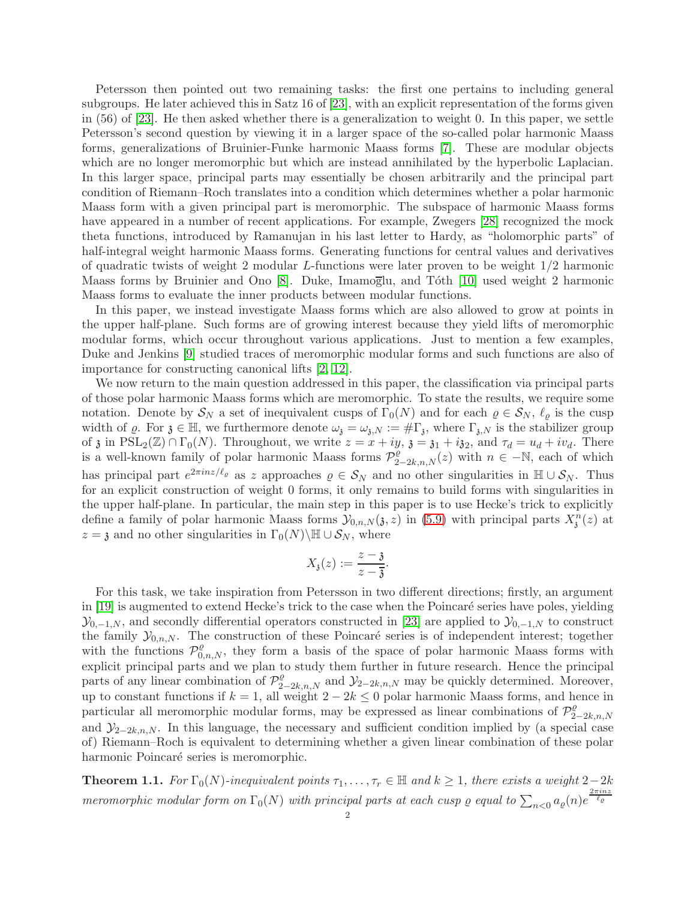Petersson then pointed out two remaining tasks: the first one pertains to including general subgroups. He later achieved this in Satz 16 of [\[23\]](#page-27-1), with an explicit representation of the forms given in (56) of [\[23\]](#page-27-1). He then asked whether there is a generalization to weight 0. In this paper, we settle Petersson's second question by viewing it in a larger space of the so-called polar harmonic Maass forms, generalizations of Bruinier-Funke harmonic Maass forms [\[7\]](#page-27-2). These are modular objects which are no longer meromorphic but which are instead annihilated by the hyperbolic Laplacian. In this larger space, principal parts may essentially be chosen arbitrarily and the principal part condition of Riemann–Roch translates into a condition which determines whether a polar harmonic Maass form with a given principal part is meromorphic. The subspace of harmonic Maass forms have appeared in a number of recent applications. For example, Zwegers [\[28\]](#page-27-3) recognized the mock theta functions, introduced by Ramanujan in his last letter to Hardy, as "holomorphic parts" of half-integral weight harmonic Maass forms. Generating functions for central values and derivatives of quadratic twists of weight 2 modular L-functions were later proven to be weight 1/2 harmonic Maass forms by Bruinier and Ono [\[8\]](#page-27-4). Duke, Imamoglu, and Tóth [\[10\]](#page-27-5) used weight 2 harmonic Maass forms to evaluate the inner products between modular functions.

In this paper, we instead investigate Maass forms which are also allowed to grow at points in the upper half-plane. Such forms are of growing interest because they yield lifts of meromorphic modular forms, which occur throughout various applications. Just to mention a few examples, Duke and Jenkins [\[9\]](#page-27-6) studied traces of meromorphic modular forms and such functions are also of importance for constructing canonical lifts [\[2,](#page-27-7) [12\]](#page-27-8).

We now return to the main question addressed in this paper, the classification via principal parts of those polar harmonic Maass forms which are meromorphic. To state the results, we require some notation. Denote by  $S_N$  a set of inequivalent cusps of  $\Gamma_0(N)$  and for each  $\varrho \in S_N$ ,  $\ell_\varrho$  is the cusp width of  $\varrho$ . For  $\mathfrak{z} \in \mathbb{H}$ , we furthermore denote  $\omega_{\mathfrak{z}} = \omega_{\mathfrak{z},N} := \#\Gamma_{\mathfrak{z}}$ , where  $\Gamma_{\mathfrak{z},N}$  is the stabilizer group of  $\mathfrak z$  in  $PSL_2(\mathbb Z) \cap \Gamma_0(N)$ . Throughout, we write  $z = x + iy$ ,  $\mathfrak z = \mathfrak z_1 + i\mathfrak z_2$ , and  $\tau_d = u_d + iv_d$ . There is a well-known family of polar harmonic Maass forms  $\mathcal{P}_{2-2k,n,N}^{\rho}(z)$  with  $n \in \mathbb{N}$ , each of which has principal part  $e^{2\pi i nz/\ell_{\varrho}}$  as z approaches  $\varrho \in S_N$  and no other singularities in  $\mathbb{H} \cup S_N$ . Thus for an explicit construction of weight 0 forms, it only remains to build forms with singularities in the upper half-plane. In particular, the main step in this paper is to use Hecke's trick to explicitly define a family of polar harmonic Maass forms  $\mathcal{Y}_{0,n,N}(\mathfrak{z},z)$  in [\(5.9\)](#page-22-0) with principal parts  $X_i^n(z)$  at  $z = \mathfrak{z}$  and no other singularities in  $\Gamma_0(N) \backslash \mathbb{H} \cup \mathcal{S}_N$ , where

$$
X_{\mathfrak{z}}(z) := \frac{z - \mathfrak{z}}{z - \overline{\mathfrak{z}}}.
$$

For this task, we take inspiration from Petersson in two different directions; firstly, an argument in [\[19\]](#page-27-9) is augmented to extend Hecke's trick to the case when the Poincaré series have poles, yielding  $\mathcal{Y}_{0,-1,N}$ , and secondly differential operators constructed in [\[23\]](#page-27-1) are applied to  $\mathcal{Y}_{0,-1,N}$  to construct the family  $\mathcal{Y}_{0,n,N}$ . The construction of these Poincaré series is of independent interest; together with the functions  $\mathcal{P}^{\rho}_{0,n,N}$ , they form a basis of the space of polar harmonic Maass forms with explicit principal parts and we plan to study them further in future research. Hence the principal parts of any linear combination of  $\mathcal{P}_{2-2k,n,N}^{\rho}$  and  $\mathcal{Y}_{2-2k,n,N}$  may be quickly determined. Moreover, up to constant functions if  $k = 1$ , all weight  $2 - 2k \leq 0$  polar harmonic Maass forms, and hence in particular all meromorphic modular forms, may be expressed as linear combinations of  $\mathcal{P}_2^{\rho}$  $2-2k, n, N$ and  $\mathcal{Y}_{2-2k,n,N}$ . In this language, the necessary and sufficient condition implied by (a special case of) Riemann–Roch is equivalent to determining whether a given linear combination of these polar harmonic Poincaré series is meromorphic.

<span id="page-1-0"></span>**Theorem 1.1.** For  $\Gamma_0(N)$ -inequivalent points  $\tau_1, \ldots, \tau_r \in \mathbb{H}$  and  $k \geq 1$ , there exists a weight 2-2k meromorphic modular form on  $\Gamma_0(N)$  with principal parts at each cusp  $\varrho$  equal to  $\sum_{n< 0} a_\varrho(n) e^{\frac{2\pi i nx}{\ell_\varrho}}$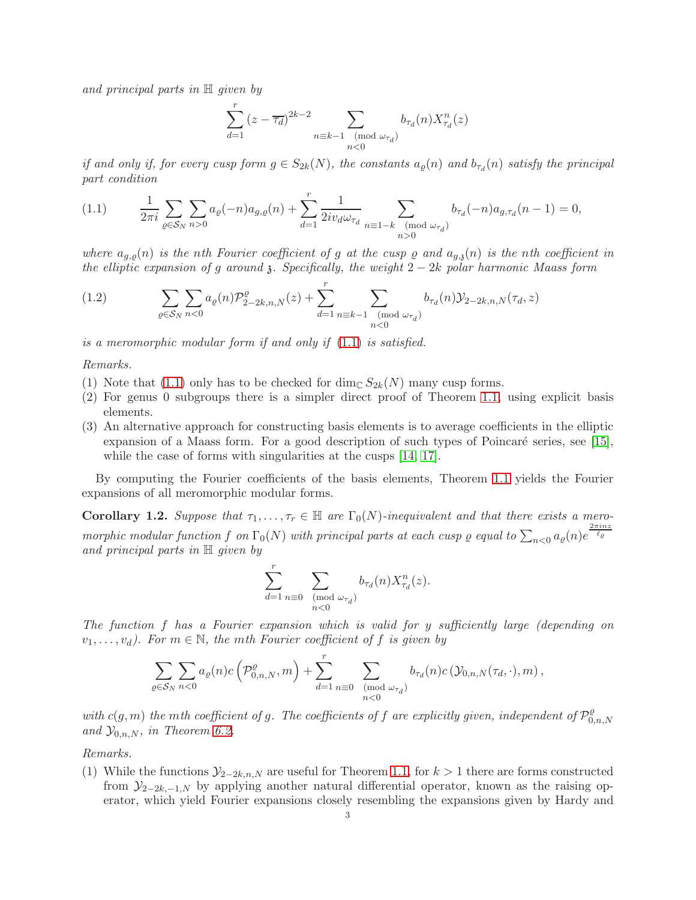and principal parts in H given by

$$
\sum_{d=1}^{r} (z - \overline{\tau_d})^{2k-2} \sum_{\substack{n \equiv k-1 \pmod{\omega_{\tau_d}}} b_{\tau_d}(n) X_{\tau_d}^n(z)}
$$

if and only if, for every cusp form  $g \in S_{2k}(N)$ , the constants  $a_{\varrho}(n)$  and  $b_{\tau_d}(n)$  satisfy the principal part condition

<span id="page-2-0"></span>
$$
(1.1) \qquad \frac{1}{2\pi i} \sum_{\varrho \in \mathcal{S}_N} \sum_{n>0} a_{\varrho}(-n) a_{g,\varrho}(n) + \sum_{d=1}^r \frac{1}{2i v_d \omega_{\tau_d}} \sum_{n \equiv 1-k \pmod{\omega_{\tau_d}}} b_{\tau_d}(-n) a_{g,\tau_d}(n-1) = 0,
$$

where  $a_{g,\rho}(n)$  is the nth Fourier coefficient of g at the cusp  $\rho$  and  $a_{g,\delta}(n)$  is the nth coefficient in the elliptic expansion of g around  $\delta$ . Specifically, the weight  $2 - 2k$  polar harmonic Maass form

<span id="page-2-2"></span>(1.2) 
$$
\sum_{\varrho \in \mathcal{S}_N} \sum_{n < 0} a_{\varrho}(n) \mathcal{P}_{2-2k,n,N}^{\varrho}(z) + \sum_{d=1}^r \sum_{\substack{n \equiv k-1 \pmod{\omega_{\tau_d}}} b_{\tau_d}(n) \mathcal{Y}_{2-2k,n,N}(\tau_d, z)}
$$

is a meromorphic modular form if and only if [\(1.1\)](#page-2-0) is satisfied.

Remarks.

- (1) Note that [\(1.1\)](#page-2-0) only has to be checked for  $\dim_{\mathbb{C}} S_{2k}(N)$  many cusp forms.
- (2) For genus 0 subgroups there is a simpler direct proof of Theorem [1.1,](#page-1-0) using explicit basis elements.
- (3) An alternative approach for constructing basis elements is to average coefficients in the elliptic expansion of a Maass form. For a good description of such types of Poincaré series, see [\[15\]](#page-27-10), while the case of forms with singularities at the cusps  $[14, 17]$  $[14, 17]$ .

By computing the Fourier coefficients of the basis elements, Theorem [1.1](#page-1-0) yields the Fourier expansions of all meromorphic modular forms.

<span id="page-2-1"></span>**Corollary 1.2.** Suppose that  $\tau_1, \ldots, \tau_r \in \mathbb{H}$  are  $\Gamma_0(N)$ -inequivalent and that there exists a meromorphic modular function f on  $\Gamma_0(N)$  with principal parts at each cusp  $\varrho$  equal to  $\sum_{n<0}a_\varrho(n)e^{\frac{2\pi inz}{\ell_\varrho}}$ and principal parts in  $\mathbb H$  given by

$$
\sum_{d=1}^r\sum_{\substack{n\equiv 0\pmod{\omega_{\tau_d}}} } b_{\tau_d}(n)X^n_{\tau_d}(z).
$$

The function f has a Fourier expansion which is valid for y sufficiently large (depending on  $v_1, \ldots, v_d$ ). For  $m \in \mathbb{N}$ , the mth Fourier coefficient of f is given by

$$
\sum_{\varrho \in \mathcal{S}_N} \sum_{n < 0} a_{\varrho}(n) c\left(\mathcal{P}_{0,n,N}^{\varrho}, m\right) + \sum_{d=1}^r \sum_{\substack{n \equiv 0 \pmod{\omega_{\tau_d}}} b_{\tau_d}(n) c\left(\mathcal{Y}_{0,n,N}(\tau_d, \cdot), m\right),
$$

with  $c(g, m)$  the mth coefficient of g. The coefficients of f are explicitly given, independent of  $\mathcal{P}_0^{\mathcal{Q}}$  $_{0,n,N}$ and  $\mathcal{Y}_{0,n,N}$ , in Theorem [6.2.](#page-26-0)

Remarks.

(1) While the functions  $\mathcal{Y}_{2-2k,n,N}$  are useful for Theorem [1.1,](#page-1-0) for  $k > 1$  there are forms constructed from  $\mathcal{Y}_{2-2k,-1,N}$  by applying another natural differential operator, known as the raising operator, which yield Fourier expansions closely resembling the expansions given by Hardy and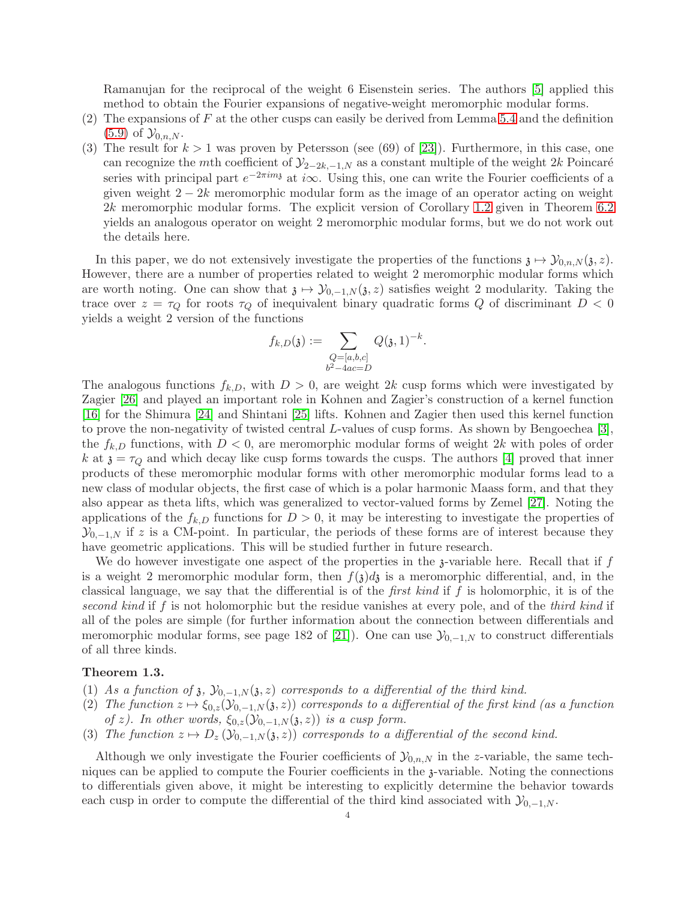Ramanujan for the reciprocal of the weight 6 Eisenstein series. The authors [\[5\]](#page-27-13) applied this method to obtain the Fourier expansions of negative-weight meromorphic modular forms.

- (2) The expansions of F at the other cusps can easily be derived from Lemma [5.4](#page-20-0) and the definition  $(5.9)$  of  $\mathcal{Y}_{0,n,N}$ .
- (3) The result for  $k > 1$  was proven by Petersson (see (69) of [\[23\]](#page-27-1)). Furthermore, in this case, one can recognize the mth coefficient of  $\mathcal{Y}_{2-2k,-1,N}$  as a constant multiple of the weight 2k Poincaré series with principal part  $e^{-2\pi im}$  at i $\infty$ . Using this, one can write the Fourier coefficients of a given weight  $2 - 2k$  meromorphic modular form as the image of an operator acting on weight 2k meromorphic modular forms. The explicit version of Corollary [1.2](#page-2-1) given in Theorem [6.2](#page-26-0) yields an analogous operator on weight 2 meromorphic modular forms, but we do not work out the details here.

In this paper, we do not extensively investigate the properties of the functions  $\chi \mapsto \mathcal{Y}_{0,n,N}(\chi,z)$ . However, there are a number of properties related to weight 2 meromorphic modular forms which are worth noting. One can show that  $\chi \mapsto \mathcal{Y}_{0,-1,N}(\chi,z)$  satisfies weight 2 modularity. Taking the trace over  $z = \tau_Q$  for roots  $\tau_Q$  of inequivalent binary quadratic forms Q of discriminant  $D < 0$ yields a weight 2 version of the functions

$$
f_{k,D}(\mathfrak{z}) := \sum_{\substack{Q = [a,b,c] \\ b^2 - 4ac = D}} Q(\mathfrak{z}, 1)^{-k}.
$$

The analogous functions  $f_{k,D}$ , with  $D > 0$ , are weight 2k cusp forms which were investigated by Zagier [\[26\]](#page-27-14) and played an important role in Kohnen and Zagier's construction of a kernel function [\[16\]](#page-27-15) for the Shimura [\[24\]](#page-27-16) and Shintani [\[25\]](#page-27-17) lifts. Kohnen and Zagier then used this kernel function to prove the non-negativity of twisted central L-values of cusp forms. As shown by Bengoechea [\[3\]](#page-27-18), the  $f_{k,D}$  functions, with  $D < 0$ , are meromorphic modular forms of weight 2k with poles of order k at  $z = \tau_Q$  and which decay like cusp forms towards the cusps. The authors [\[4\]](#page-27-19) proved that inner products of these meromorphic modular forms with other meromorphic modular forms lead to a new class of modular objects, the first case of which is a polar harmonic Maass form, and that they also appear as theta lifts, which was generalized to vector-valued forms by Zemel [\[27\]](#page-27-20). Noting the applications of the  $f_{k,D}$  functions for  $D > 0$ , it may be interesting to investigate the properties of  $\mathcal{Y}_{0,-1,N}$  if z is a CM-point. In particular, the periods of these forms are of interest because they have geometric applications. This will be studied further in future research.

We do however investigate one aspect of the properties in the  $\beta$ -variable here. Recall that if f is a weight 2 meromorphic modular form, then  $f(\lambda) d\lambda$  is a meromorphic differential, and, in the classical language, we say that the differential is of the *first kind* if  $f$  is holomorphic, it is of the second kind if f is not holomorphic but the residue vanishes at every pole, and of the third kind if all of the poles are simple (for further information about the connection between differentials and meromorphic modular forms, see page 182 of [\[21\]](#page-27-21)). One can use  $\mathcal{Y}_{0,-1,N}$  to construct differentials of all three kinds.

### <span id="page-3-0"></span>Theorem 1.3.

- (1) As a function of  $\mathfrak z$ ,  $\mathcal Y_{0,-1,N}(\mathfrak z,z)$  corresponds to a differential of the third kind.
- (2) The function  $z \mapsto \xi_{0,z}(\mathcal{Y}_{0,-1,N}(\mathfrak{z}, z))$  corresponds to a differential of the first kind (as a function of z). In other words,  $\xi_{0,z}(\mathcal{Y}_{0,-1,N}(\mathfrak{z},z))$  is a cusp form.
- (3) The function  $z \mapsto D_z(\mathcal{Y}_{0,-1,N}(3,z))$  corresponds to a differential of the second kind.

Although we only investigate the Fourier coefficients of  $\mathcal{Y}_{0,n,N}$  in the z-variable, the same techniques can be applied to compute the Fourier coefficients in the z-variable. Noting the connections to differentials given above, it might be interesting to explicitly determine the behavior towards each cusp in order to compute the differential of the third kind associated with  $\mathcal{Y}_{0,-1,N}$ .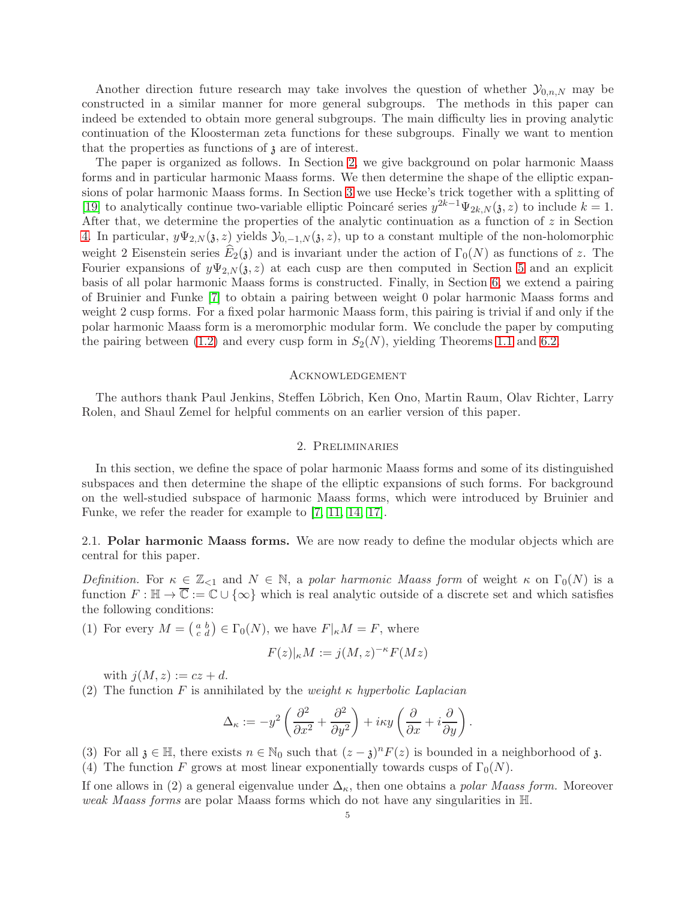Another direction future research may take involves the question of whether  $\mathcal{Y}_{0,n,N}$  may be constructed in a similar manner for more general subgroups. The methods in this paper can indeed be extended to obtain more general subgroups. The main difficulty lies in proving analytic continuation of the Kloosterman zeta functions for these subgroups. Finally we want to mention that the properties as functions of  $\beta$  are of interest.

The paper is organized as follows. In Section [2,](#page-4-0) we give background on polar harmonic Maass forms and in particular harmonic Maass forms. We then determine the shape of the elliptic expansions of polar harmonic Maass forms. In Section [3](#page-7-0) we use Hecke's trick together with a splitting of [\[19\]](#page-27-9) to analytically continue two-variable elliptic Poincaré series  $y^{2k-1}\Psi_{2k,N}(\mathfrak{z},z)$  to include  $k=1$ . After that, we determine the properties of the analytic continuation as a function of  $z$  in Section [4.](#page-14-0) In particular,  $y\Psi_{2,N}(\mathfrak{z},z)$  yields  $\mathcal{Y}_{0,-1,N}(\mathfrak{z},z)$ , up to a constant multiple of the non-holomorphic weight 2 Eisenstein series  $E_2(\mathfrak{z})$  and is invariant under the action of  $\Gamma_0(N)$  as functions of z. The Fourier expansions of  $y\Psi_{2,N}(3, z)$  at each cusp are then computed in Section [5](#page-17-0) and an explicit basis of all polar harmonic Maass forms is constructed. Finally, in Section [6,](#page-24-0) we extend a pairing of Bruinier and Funke [\[7\]](#page-27-2) to obtain a pairing between weight 0 polar harmonic Maass forms and weight 2 cusp forms. For a fixed polar harmonic Maass form, this pairing is trivial if and only if the polar harmonic Maass form is a meromorphic modular form. We conclude the paper by computing the pairing between [\(1.2\)](#page-2-2) and every cusp form in  $S_2(N)$ , yielding Theorems [1.1](#page-1-0) and [6.2.](#page-26-0)

### Acknowledgement

<span id="page-4-0"></span>The authors thank Paul Jenkins, Steffen Löbrich, Ken Ono, Martin Raum, Olav Richter, Larry Rolen, and Shaul Zemel for helpful comments on an earlier version of this paper.

### 2. Preliminaries

In this section, we define the space of polar harmonic Maass forms and some of its distinguished subspaces and then determine the shape of the elliptic expansions of such forms. For background on the well-studied subspace of harmonic Maass forms, which were introduced by Bruinier and Funke, we refer the reader for example to [\[7,](#page-27-2) [11,](#page-27-22) [14,](#page-27-11) [17\]](#page-27-12).

2.1. Polar harmonic Maass forms. We are now ready to define the modular objects which are central for this paper.

Definition. For  $\kappa \in \mathbb{Z}_{\leq 1}$  and  $N \in \mathbb{N}$ , a polar harmonic Maass form of weight  $\kappa$  on  $\Gamma_0(N)$  is a function  $F : \mathbb{H} \to \overline{\mathbb{C}} := \mathbb{C} \cup \{\infty\}$  which is real analytic outside of a discrete set and which satisfies the following conditions:

(1) For every  $M = \begin{pmatrix} a & b \\ c & d \end{pmatrix} \in \Gamma_0(N)$ , we have  $F|_{\kappa}M = F$ , where

$$
F(z)|_{\kappa}M := j(M, z)^{-\kappa}F(Mz)
$$

with  $j(M, z) := cz + d$ .

(2) The function F is annihilated by the weight  $\kappa$  hyperbolic Laplacian

$$
\Delta_{\kappa} := -y^2 \left( \frac{\partial^2}{\partial x^2} + \frac{\partial^2}{\partial y^2} \right) + i\kappa y \left( \frac{\partial}{\partial x} + i \frac{\partial}{\partial y} \right).
$$

(3) For all  $\mathfrak{z} \in \mathbb{H}$ , there exists  $n \in \mathbb{N}_0$  such that  $(z - \mathfrak{z})^n F(z)$  is bounded in a neighborhood of  $\mathfrak{z}$ . (4) The function F grows at most linear exponentially towards cusps of  $\Gamma_0(N)$ .

If one allows in (2) a general eigenvalue under  $\Delta_{\kappa}$ , then one obtains a *polar Maass form*. Moreover weak Maass forms are polar Maass forms which do not have any singularities in H.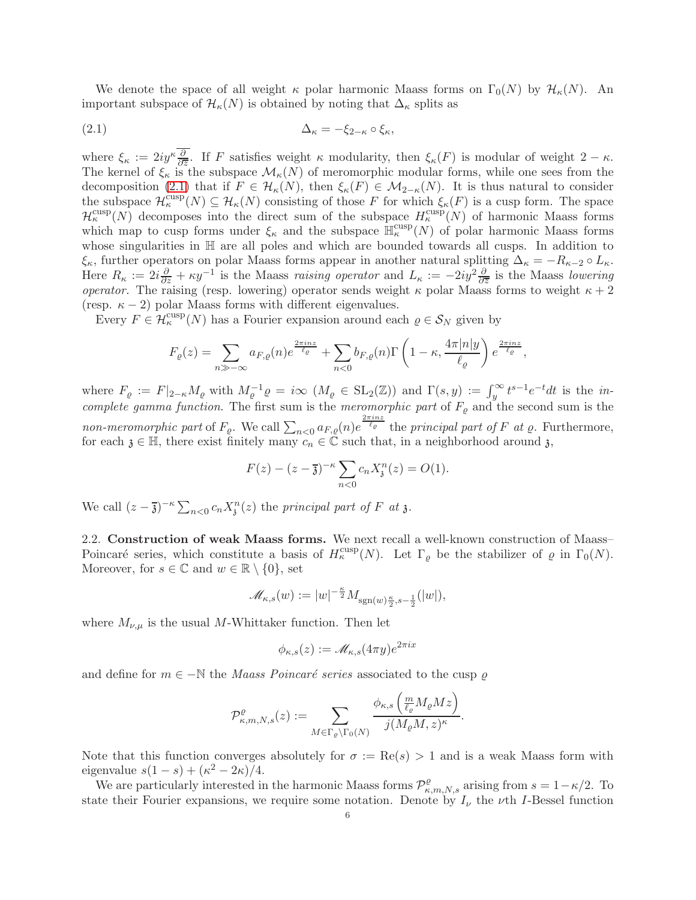We denote the space of all weight  $\kappa$  polar harmonic Maass forms on  $\Gamma_0(N)$  by  $\mathcal{H}_{\kappa}(N)$ . An important subspace of  $\mathcal{H}_{\kappa}(N)$  is obtained by noting that  $\Delta_{\kappa}$  splits as

<span id="page-5-0"></span>
$$
\Delta_{\kappa} = -\xi_{2-\kappa} \circ \xi_{\kappa},
$$

where  $\xi_{\kappa} := 2iy^{\kappa} \frac{\partial}{\partial \overline{z}}$ . If F satisfies weight  $\kappa$  modularity, then  $\xi_{\kappa}(F)$  is modular of weight  $2 - \kappa$ . The kernel of  $\xi_{\kappa}$  is the subspace  $\mathcal{M}_{\kappa}(N)$  of meromorphic modular forms, while one sees from the decomposition [\(2.1\)](#page-5-0) that if  $F \in \mathcal{H}_{\kappa}(N)$ , then  $\xi_{\kappa}(F) \in \mathcal{M}_{2-\kappa}(N)$ . It is thus natural to consider the subspace  $\mathcal{H}_{\kappa}^{\text{cusp}}(N) \subseteq \mathcal{H}_{\kappa}(N)$  consisting of those F for which  $\xi_{\kappa}(F)$  is a cusp form. The space  $\mathcal{H}_{\kappa}^{\text{cusp}}(N)$  decomposes into the direct sum of the subspace  $H_{\kappa}^{\text{cusp}}(N)$  of harmonic Maass forms which map to cusp forms under  $\xi_{\kappa}$  and the subspace  $\mathbb{H}^{\text{cusp}}_{\kappa}(N)$  of polar harmonic Maass forms whose singularities in  $\mathbb H$  are all poles and which are bounded towards all cusps. In addition to ξ<sub>κ</sub>, further operators on polar Maass forms appear in another natural splitting  $\Delta_{\kappa} = -R_{\kappa-2} \circ L_{\kappa}$ . Here  $R_{\kappa} := 2i\frac{\partial}{\partial z} + \kappa y^{-1}$  is the Maass raising operator and  $L_{\kappa} := -2iy^2\frac{\partial}{\partial \overline{z}}$  is the Maass lowering operator. The raising (resp. lowering) operator sends weight  $\kappa$  polar Maass forms to weight  $\kappa + 2$ (resp.  $\kappa - 2$ ) polar Maass forms with different eigenvalues.

Every  $F \in \mathcal{H}_{\kappa}^{\text{cusp}}(N)$  has a Fourier expansion around each  $\varrho \in \mathcal{S}_N$  given by

$$
F_{\varrho}(z) = \sum_{n \gg -\infty} a_{F,\varrho}(n) e^{\frac{2\pi i nz}{\ell_{\varrho}}} + \sum_{n < 0} b_{F,\varrho}(n) \Gamma\left(1 - \kappa, \frac{4\pi |n| y}{\ell_{\varrho}}\right) e^{\frac{2\pi i nz}{\ell_{\varrho}}},
$$

where  $F_{\varrho} := F|_{2-\kappa} M_{\varrho}$  with  $M_{\varrho}^{-1} \varrho = i \infty \left( M_{\varrho} \in SL_2(\mathbb{Z}) \right)$  and  $\Gamma(s, y) := \int_y^{\infty} t^{s-1} e^{-t} dt$  is the *in*complete gamma function. The first sum is the meromorphic part of  $F_{\varrho}$  and the second sum is the non-meromorphic part of  $F_{\varrho}$ . We call  $\sum_{n<0} a_{F,\varrho}(n)e^{\frac{2\pi inz}{\ell_{\varrho}}}$  the principal part of F at  $\varrho$ . Furthermore, for each  $\mathfrak{z} \in \mathbb{H}$ , there exist finitely many  $c_n \in \mathbb{C}$  such that, in a neighborhood around  $\mathfrak{z}$ ,

$$
F(z) - (z - \overline{3})^{-\kappa} \sum_{n < 0} c_n X_3^n(z) = O(1).
$$

We call  $(z - \overline{\mathfrak{z}})^{-\kappa} \sum_{n < 0} c_n X_{\mathfrak{z}}^n(z)$  the principal part of F at  $\mathfrak{z}$ .

2.2. Construction of weak Maass forms. We next recall a well-known construction of Maass– Poincaré series, which constitute a basis of  $H_\kappa^{\text{cusp}}(N)$ . Let  $\Gamma_\varrho$  be the stabilizer of  $\varrho$  in  $\Gamma_0(N)$ . Moreover, for  $s \in \mathbb{C}$  and  $w \in \mathbb{R} \setminus \{0\}$ , set

$$
\mathscr{M}_{\kappa,s}(w):=|w|^{-\frac{\kappa}{2}}M_{\mathrm{sgn}(w)\frac{\kappa}{2},s-\frac{1}{2}}(|w|),
$$

where  $M_{\nu,\mu}$  is the usual M-Whittaker function. Then let

$$
\phi_{\kappa,s}(z) := \mathscr{M}_{\kappa,s}(4\pi y) e^{2\pi ix}
$$

and define for  $m \in -\mathbb{N}$  the *Maass Poincaré series* associated to the cusp  $\varrho$ 

$$
\mathcal{P}^\varrho_{\kappa,m,N,s}(z):=\sum_{M\in\Gamma_\varrho\backslash\Gamma_0(N)}\frac{\phi_{\kappa,s}\left(\frac{m}{\ell_\varrho}M_\varrho Mz\right)}{j(M_\varrho M,z)^\kappa}.
$$

Note that this function converges absolutely for  $\sigma := \text{Re}(s) > 1$  and is a weak Maass form with eigenvalue  $s(1-s) + (\kappa^2 - 2\kappa)/4$ .

We are particularly interested in the harmonic Maass forms  $\mathcal{P}^{\rho}_{\kappa,m,N,s}$  arising from  $s = 1 - \kappa/2$ . To state their Fourier expansions, we require some notation. Denote by  $I_{\nu}$  the  $\nu$ th I-Bessel function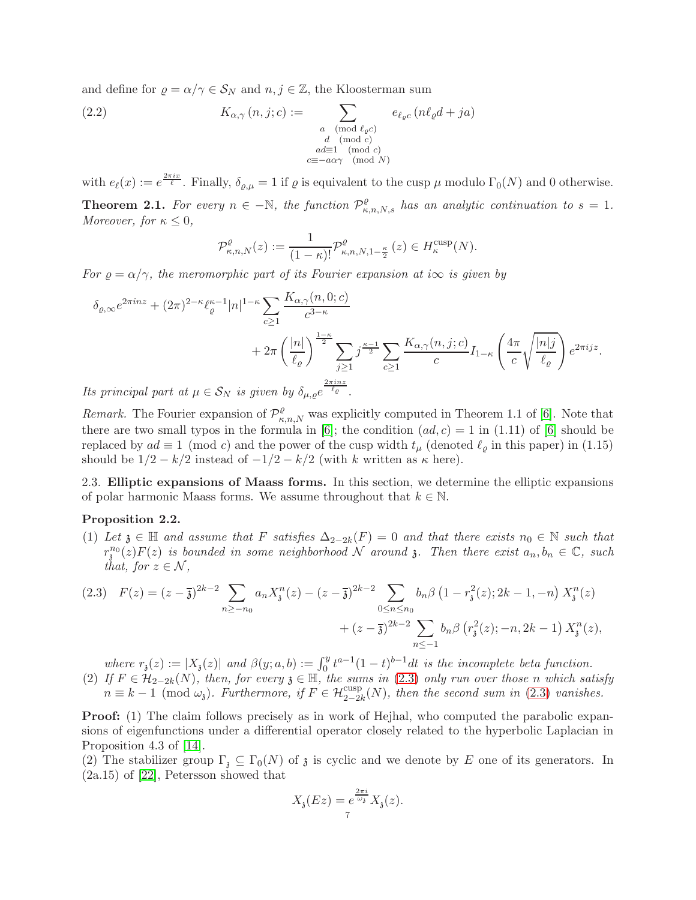and define for  $\rho = \alpha/\gamma \in \mathcal{S}_N$  and  $n, j \in \mathbb{Z}$ , the Kloosterman sum

(2.2) 
$$
K_{\alpha,\gamma}(n,j;c) := \sum_{\substack{a \pmod{\ell_{\varrho}c} \\ d \pmod{c} \\ a \equiv 1 \pmod{c} \\ c \equiv -a\alpha\gamma \pmod{N}}} e_{\ell_{\varrho}c}(n\ell_{\varrho}d + ja)
$$

with  $e_{\ell}(x) := e^{\frac{2\pi i x}{\ell}}$ . Finally,  $\delta_{\varrho,\mu} = 1$  if  $\varrho$  is equivalent to the cusp  $\mu$  modulo  $\Gamma_0(N)$  and 0 otherwise. **Theorem 2.1.** For every  $n \in \mathbb{N}$ , the function  $\mathcal{P}^{\rho}_{\kappa,n,N,s}$  has an analytic continuation to  $s = 1$ .

<span id="page-6-1"></span>
$$
\mathcal{P}^{\varrho}_{\kappa,n,N}(z) := \frac{1}{(1-\kappa)!} \mathcal{P}^{\varrho}_{\kappa,n,N,1-\frac{\kappa}{2}}(z) \in H^{\mathrm{cusp}}_{\kappa}(N).
$$

For  $\varrho = \alpha/\gamma$ , the meromorphic part of its Fourier expansion at i $\infty$  is given by

$$
\delta_{\varrho,\infty}e^{2\pi i n z} + (2\pi)^{2-\kappa}\ell_{\varrho}^{\kappa-1}|n|^{1-\kappa}\sum_{c\geq 1}\frac{K_{\alpha,\gamma}(n,0;c)}{c^{3-\kappa}} + 2\pi\left(\frac{|n|}{\ell_{\varrho}}\right)^{\frac{1-\kappa}{2}}\sum_{j\geq 1}j^{\frac{\kappa-1}{2}}\sum_{c\geq 1}\frac{K_{\alpha,\gamma}(n,j;c)}{c}I_{1-\kappa}\left(\frac{4\pi}{c}\sqrt{\frac{|n|j}{\ell_{\varrho}}}\right)e^{2\pi i j z}.
$$

Its principal part at  $\mu \in \mathcal{S}_N$  is given by  $\delta_{\mu,\varrho}e^{\sqrt{\ell_\varrho}}$ .

Remark. The Fourier expansion of  $\mathcal{P}^{\rho}_{\kappa,n,N}$  was explicitly computed in Theorem 1.1 of [\[6\]](#page-27-23). Note that there are two small typos in the formula in [\[6\]](#page-27-23); the condition  $(ad, c) = 1$  in  $(1.11)$  of [6] should be replaced by  $ad \equiv 1 \pmod{c}$  and the power of the cusp width  $t_{\mu}$  (denoted  $\ell_{\varrho}$  in this paper) in (1.15) should be  $1/2 - k/2$  instead of  $-1/2 - k/2$  (with k written as  $\kappa$  here).

2.3. Elliptic expansions of Maass forms. In this section, we determine the elliptic expansions of polar harmonic Maass forms. We assume throughout that  $k \in \mathbb{N}$ .

### Proposition 2.2.

<span id="page-6-2"></span>Moreover, for  $\kappa \leq 0$ ,

(1) Let  $\mathfrak{z} \in \mathbb{H}$  and assume that F satisfies  $\Delta_{2-2k}(F) = 0$  and that there exists  $n_0 \in \mathbb{N}$  such that  $r_3^{n_0}(z)F(z)$  is bounded in some neighborhood N around 3. Then there exist  $a_n, b_n \in \mathbb{C}$ , such that, for  $z \in \mathcal{N}$ ,

<span id="page-6-0"></span>
$$
(2.3) \quad F(z) = (z - \overline{3})^{2k-2} \sum_{n \ge -n_0} a_n X_i^n(z) - (z - \overline{3})^{2k-2} \sum_{0 \le n \le n_0} b_n \beta \left(1 - r_\overline{\mathfrak{s}}^2(z); 2k - 1, -n\right) X_i^n(z) + (z - \overline{3})^{2k-2} \sum_{n \le -1} b_n \beta \left(r_\overline{\mathfrak{s}}^2(z); -n, 2k - 1\right) X_i^n(z),
$$

where  $r_3(z) := |X_3(z)|$  and  $\beta(y; a, b) := \int_0^y t^{a-1} (1-t)^{b-1} dt$  is the incomplete beta function. (2) If  $F \in \mathcal{H}_{2-2k}(N)$ , then, for every  $\mathfrak{z} \in \mathbb{H}$ , the sums in [\(2.3\)](#page-6-0) only run over those n which satisfy  $n \equiv k-1 \pmod{\omega_i}$ . Furthermore, if  $F \in \mathcal{H}_{2-2k}^{\text{cusp}}(N)$ , then the second sum in [\(2.3\)](#page-6-0) vanishes.

**Proof:** (1) The claim follows precisely as in work of Hejhal, who computed the parabolic expansions of eigenfunctions under a differential operator closely related to the hyperbolic Laplacian in Proposition 4.3 of [\[14\]](#page-27-11).

(2) The stabilizer group  $\Gamma_{\mathfrak{z}} \subseteq \Gamma_0(N)$  of  $\mathfrak{z}$  is cyclic and we denote by E one of its generators. In (2a.15) of [\[22\]](#page-27-0), Petersson showed that

$$
X_{\mathfrak{z}}(Ez) = e^{\frac{2\pi i}{\omega_{\mathfrak{z}}}} X_{\mathfrak{z}}(z).
$$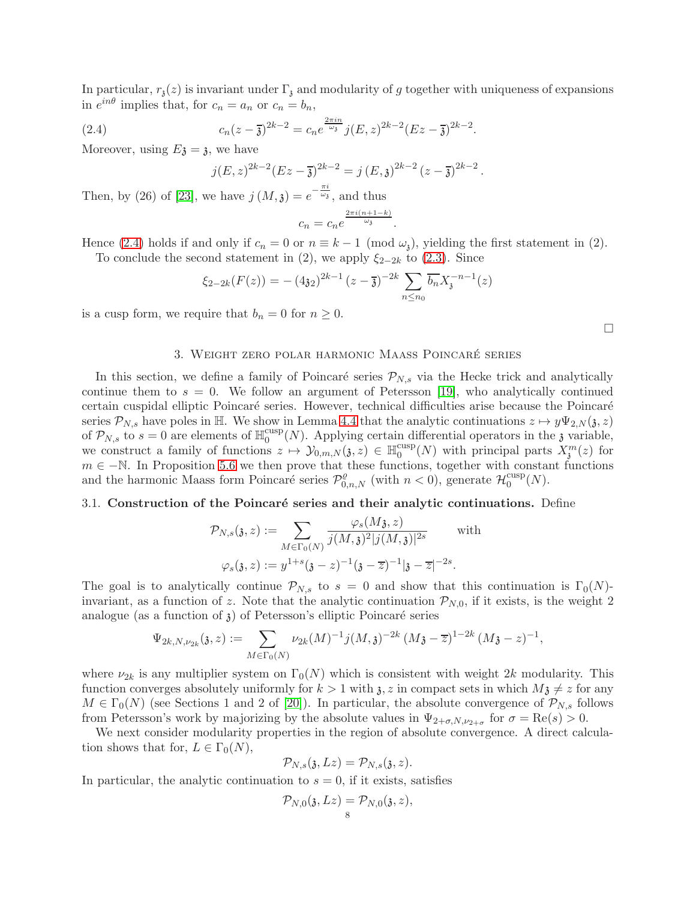In particular,  $r_3(z)$  is invariant under  $\Gamma_3$  and modularity of g together with uniqueness of expansions in  $e^{in\theta}$  implies that, for  $c_n = a_n$  or  $c_n = b_n$ ,

(2.4) 
$$
c_n(z-\overline{z})^{2k-2} = c_n e^{\frac{2\pi in}{\omega_z}} j(E, z)^{2k-2} (Ez - \overline{z})^{2k-2}.
$$

Moreover, using  $E_3 = 3$ , we have

<span id="page-7-1"></span>
$$
j(E, z)^{2k-2}(Ez - \overline{\mathfrak{z}})^{2k-2} = j(E, \mathfrak{z})^{2k-2}(z - \overline{\mathfrak{z}})^{2k-2}.
$$

Then, by (26) of [\[23\]](#page-27-1), we have  $j(M, \mathfrak{z}) = e^{-\frac{\pi i}{\omega_{\mathfrak{z}}}}$ , and thus  $2\pi i(n+1-k)$ 

$$
c_n = c_n e^{\frac{2\pi i (n+1-k)}{\omega_{\delta}}}.
$$

Hence [\(2.4\)](#page-7-1) holds if and only if  $c_n = 0$  or  $n \equiv k - 1 \pmod{\omega_i}$ , yielding the first statement in (2). To conclude the second statement in (2), we apply  $\xi_{2-2k}$  to [\(2.3\)](#page-6-0). Since

$$
\xi_{2-2k}(F(z)) = -(4\mathfrak{z}_2)^{2k-1} (z-\overline{\mathfrak{z}})^{-2k} \sum_{n \le n_0} \overline{b_n} X_{\mathfrak{z}}^{-n-1}(z)
$$

<span id="page-7-0"></span>is a cusp form, we require that  $b_n = 0$  for  $n \geq 0$ .

### 3. WEIGHT ZERO POLAR HARMONIC MAASS POINCARÉ SERIES

In this section, we define a family of Poincaré series  $\mathcal{P}_{N,s}$  via the Hecke trick and analytically continue them to  $s = 0$ . We follow an argument of Petersson [\[19\]](#page-27-9), who analytically continued certain cuspidal elliptic Poincaré series. However, technical difficulties arise because the Poincaré series  $\mathcal{P}_{N,s}$  have poles in H. We show in Lemma [4.4](#page-17-1) that the analytic continuations  $z \mapsto y\Psi_{2,N}(\mathfrak{z}, z)$ of  $\mathcal{P}_{N,s}$  to  $s=0$  are elements of  $\mathbb{H}_0^{\text{cusp}}$  $\frac{\text{cusp}}{0}(N)$ . Applying certain differential operators in the 3 variable, we construct a family of functions  $z \mapsto \mathcal{Y}_{0,m,N}(\mathfrak{z}, z) \in \mathbb{H}_0^{\text{cusp}}$  $_{0}^{\text{cusp}}(N)$  with principal parts  $X_{\mathfrak{z}}^{m}(z)$  for  $m \in -\mathbb{N}$ . In Proposition [5.6](#page-24-1) we then prove that these functions, together with constant functions and the harmonic Maass form Poincaré series  $\mathcal{P}^{\rho}_{0,n,N}$  (with  $n < 0$ ), generate  $\mathcal{H}^{\text{cusp}}_0$  $_{0}^{\text{cusp}}(N).$ 

### 3.1. Construction of the Poincaré series and their analytic continuations. Define

$$
\mathcal{P}_{N,s}(\mathfrak{z},z) := \sum_{M \in \Gamma_0(N)} \frac{\varphi_s(M\mathfrak{z},z)}{j(M,\mathfrak{z})^2 |j(M,\mathfrak{z})|^{2s}} \quad \text{with}
$$

$$
\varphi_s(\mathfrak{z},z) := y^{1+s} (\mathfrak{z}-z)^{-1} (\mathfrak{z}-\overline{z})^{-1} |\mathfrak{z}-\overline{z}|^{-2s}.
$$

The goal is to analytically continue  $\mathcal{P}_{N,s}$  to  $s = 0$  and show that this continuation is  $\Gamma_0(N)$ invariant, as a function of z. Note that the analytic continuation  $\mathcal{P}_{N,0}$ , if it exists, is the weight 2 analogue (as a function of  $\mathfrak{z}$ ) of Petersson's elliptic Poincaré series

$$
\Psi_{2k, N, \nu_{2k}}(\mathfrak{z}, z) := \sum_{M \in \Gamma_0(N)} \nu_{2k}(M)^{-1} j(M, \mathfrak{z})^{-2k} (M\mathfrak{z} - \overline{z})^{1-2k} (M\mathfrak{z} - z)^{-1},
$$

where  $\nu_{2k}$  is any multiplier system on  $\Gamma_0(N)$  which is consistent with weight 2k modularity. This function converges absolutely uniformly for  $k > 1$  with  $\lambda, z$  in compact sets in which  $M\lambda \neq z$  for any  $M \in \Gamma_0(N)$  (see Sections 1 and 2 of [\[20\]](#page-27-24)). In particular, the absolute convergence of  $\mathcal{P}_{N,s}$  follows from Petersson's work by majorizing by the absolute values in  $\Psi_{2+\sigma,N,\nu_{2+\sigma}}$  for  $\sigma = \text{Re}(s) > 0$ .

We next consider modularity properties in the region of absolute convergence. A direct calculation shows that for,  $L \in \Gamma_0(N)$ ,

$$
\mathcal{P}_{N,s}(\mathfrak{z},Lz)=\mathcal{P}_{N,s}(\mathfrak{z},z).
$$

In particular, the analytic continuation to  $s = 0$ , if it exists, satisfies

$$
\mathcal{P}_{N,0}(\mathfrak{z},Lz)=\mathcal{P}_{N,0}(\mathfrak{z},z),\\ \quad \ \ \, 8
$$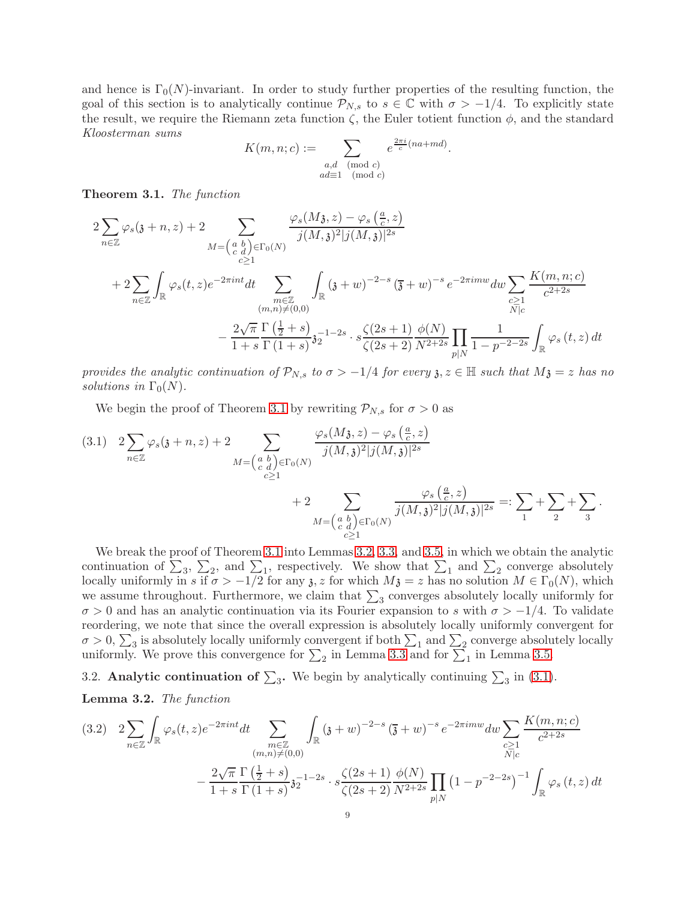and hence is  $\Gamma_0(N)$ -invariant. In order to study further properties of the resulting function, the goal of this section is to analytically continue  $\mathcal{P}_{N,s}$  to  $s \in \mathbb{C}$  with  $\sigma > -1/4$ . To explicitly state the result, we require the Riemann zeta function  $\zeta$ , the Euler totient function  $\phi$ , and the standard Kloosterman sums

$$
K(m, n; c) := \sum_{\substack{a,d \pmod{c} \\ ad \equiv 1 \pmod{c}}} e^{\frac{2\pi i}{c}(na + md)}.
$$

<span id="page-8-0"></span>Theorem 3.1. The function

$$
2\sum_{n\in\mathbb{Z}}\varphi_{s}(\mathfrak{z}+n,z)+2\sum_{M=\begin{pmatrix}a&b\\c&d\end{pmatrix}\in\Gamma_{0}(N)}\frac{\varphi_{s}(M\mathfrak{z},z)-\varphi_{s}\left(\frac{a}{c},z\right)}{j(M,\mathfrak{z})^{2}|j(M,\mathfrak{z})|^{2s}}\\+2\sum_{n\in\mathbb{Z}}\int_{\mathbb{R}}\varphi_{s}(t,z)e^{-2\pi int}dt\sum_{\substack{m\in\mathbb{Z}\\(m,n)\neq(0,0)}}\int_{\mathbb{R}}(\mathfrak{z}+w)^{-2-s}\left(\overline{\mathfrak{z}}+w\right)^{-s}e^{-2\pi imw}dw\sum_{\substack{c\geq 1\\N\mid c}}\frac{K(m,n;c)}{c^{2+2s}}\\-\frac{2\sqrt{\pi}}{1+s}\frac{\Gamma\left(\frac{1}{2}+s\right)}{\Gamma(1+s)}\mathfrak{z}_{2}^{-1-2s}\cdot s\frac{\zeta(2s+1)}{\zeta(2s+2)}\frac{\phi(N)}{N^{2+2s}}\prod_{p|N}\frac{1}{1-p^{-2-2s}}\int_{\mathbb{R}}\varphi_{s}\left(t,z\right)dt
$$

provides the analytic continuation of  $\mathcal{P}_{N,s}$  to  $\sigma > -1/4$  for every  $\mathfrak{z}, z \in \mathbb{H}$  such that  $M\mathfrak{z} = z$  has no solutions in  $\Gamma_0(N)$ .

We begin the proof of Theorem [3.1](#page-8-0) by rewriting  $P_{N,s}$  for  $\sigma > 0$  as

<span id="page-8-2"></span>
$$
(3.1) \quad 2\sum_{n\in\mathbb{Z}}\varphi_s(\mathfrak{z}+n,z)+2\sum_{M=\begin{pmatrix}a&b\\c&d\end{pmatrix}\in\Gamma_0(N)}\frac{\varphi_s(M\mathfrak{z},z)-\varphi_s\left(\frac{a}{c},z\right)}{j(M,\mathfrak{z})^2|j(M,\mathfrak{z})|^{2s}}\\+2\sum_{\substack{M=\begin{pmatrix}a&b\\c&d\end{pmatrix}\in\Gamma_0(N)}}\frac{\varphi_s\left(\frac{a}{c},z\right)}{j(M,\mathfrak{z})^2|j(M,\mathfrak{z})|^{2s}}=:\sum_{1}+\sum_{2}+\sum_{3}.
$$

We break the proof of Theorem [3.1](#page-8-0) into Lemmas [3.2,](#page-8-1) [3.3,](#page-10-0) and [3.5,](#page-13-0) in which we obtain the analytic continuation of  $\Sigma_3$ ,  $\Sigma_2$ , and  $\Sigma_1$ , respectively. We show that  $\Sigma_1$  and  $\Sigma_2$  converge absolutely locally uniformly in s if  $\sigma > -1/2$  for any  $\mathfrak{z}, z$  for which  $M\mathfrak{z} = z$  has no solution  $M \in \Gamma_0(N)$ , which we assume throughout. Furthermore, we claim that  $\sum_3$  converges absolutely locally uniformly for  $\sigma > 0$  and has an analytic continuation via its Fourier expansion to s with  $\sigma > -1/4$ . To validate reordering, we note that since the overall expression is absolutely locally uniformly convergent for  $\sigma > 0$ ,  $\sum_3$  is absolutely locally uniformly convergent if both  $\sum_1$  and  $\sum_2$  converge absolutely locally uniformly. We prove this convergence for  $\sum_2$  in Lemma [3.3](#page-10-0) and for  $\sum_1$  in Lemma [3.5.](#page-13-0)

<span id="page-8-4"></span>3.2. Analytic continuation of  $\sum_3$ . We begin by analytically continuing  $\sum_3$  in [\(3.1\)](#page-8-2).

<span id="page-8-1"></span>Lemma 3.2. The function

<span id="page-8-3"></span>
$$
(3.2) \quad 2\sum_{n\in\mathbb{Z}}\int_{\mathbb{R}}\varphi_{s}(t,z)e^{-2\pi int}dt\sum_{\substack{m\in\mathbb{Z}\\(m,n)\neq(0,0)}}\int_{\mathbb{R}}(3+w)^{-2-s}\left(\overline{3}+w\right)^{-s}e^{-2\pi imw}dw\sum_{\substack{c\geq 1\\N\mid c}}\frac{K(m,n;c)}{c^{2+2s}}\\-\frac{2\sqrt{\pi}}{1+s}\frac{\Gamma\left(\frac{1}{2}+s\right)}{\Gamma\left(1+s\right)}\mathfrak{z}_{2}^{-1-2s}\cdot s\frac{\zeta(2s+1)}{\zeta(2s+2)}\frac{\phi(N)}{N^{2+2s}}\prod_{p\mid N}\left(1-p^{-2-2s}\right)^{-1}\int_{\mathbb{R}}\varphi_{s}\left(t,z\right)dt
$$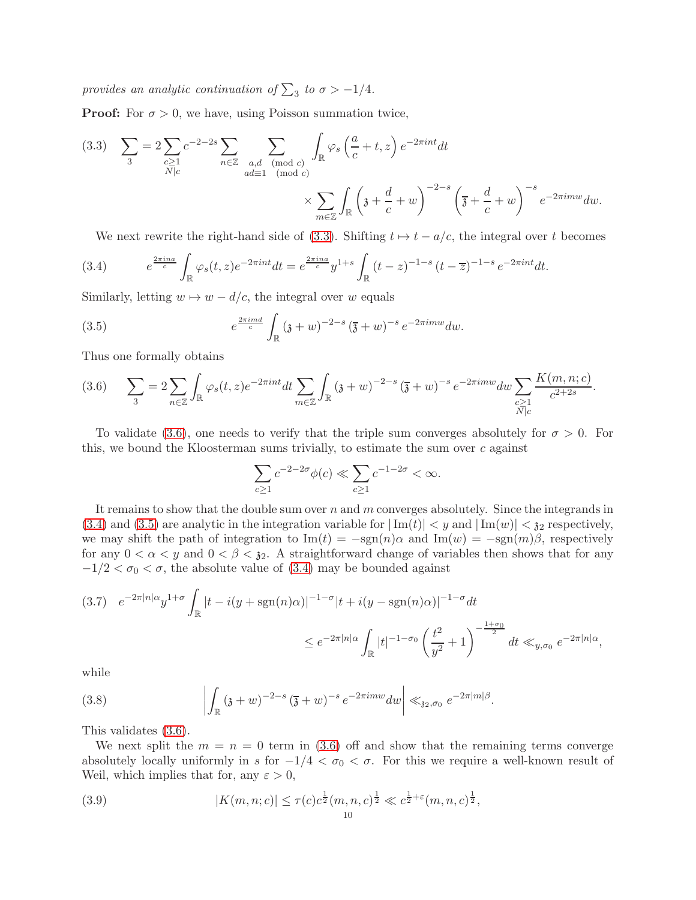provides an analytic continuation of  $\sum_3$  to  $\sigma > -1/4$ .

**Proof:** For  $\sigma > 0$ , we have, using Poisson summation twice,

<span id="page-9-0"></span>
$$
(3.3) \quad \sum_{3} = 2 \sum_{\substack{c \ge 1 \\ N \mid c}} c^{-2-2s} \sum_{\substack{a,d \pmod{c} \\ ad \equiv 1 \pmod{c}}} \sum_{\substack{(mod c) \\ \pmod{c}}} \int_{\mathbb{R}} \varphi_s \left( \frac{a}{c} + t, z \right) e^{-2\pi int} dt
$$

$$
\times \sum_{m \in \mathbb{Z}} \int_{\mathbb{R}} \left( \mathfrak{z} + \frac{d}{c} + w \right)^{-2-s} \left( \overline{\mathfrak{z}} + \frac{d}{c} + w \right)^{-s} e^{-2\pi imw} dw.
$$

<span id="page-9-2"></span>We next rewrite the right-hand side of [\(3.3\)](#page-9-0). Shifting  $t \mapsto t - a/c$ , the integral over t becomes

(3.4) 
$$
e^{\frac{2\pi ina}{c}} \int_{\mathbb{R}} \varphi_s(t,z) e^{-2\pi int} dt = e^{\frac{2\pi ina}{c}} y^{1+s} \int_{\mathbb{R}} (t-z)^{-1-s} (t-\overline{z})^{-1-s} e^{-2\pi int} dt.
$$

Similarly, letting  $w \mapsto w - d/c$ , the integral over w equals

(3.5) 
$$
e^{\frac{2\pi imd}{c}} \int_{\mathbb{R}} (3+w)^{-2-s} (\bar{3}+w)^{-s} e^{-2\pi imw} dw.
$$

Thus one formally obtains

<span id="page-9-1"></span>
$$
(3.6) \qquad \sum_{3} = 2 \sum_{n \in \mathbb{Z}} \int_{\mathbb{R}} \varphi_{s}(t, z) e^{-2\pi i nt} dt \sum_{m \in \mathbb{Z}} \int_{\mathbb{R}} \left( \mathfrak{z} + w \right)^{-2-s} \left( \overline{\mathfrak{z}} + w \right)^{-s} e^{-2\pi i m w} dw \sum_{\substack{c \geq 1 \\ N \mid c}} \frac{K(m, n; c)}{c^{2+2s}}.
$$

To validate [\(3.6\)](#page-9-1), one needs to verify that the triple sum converges absolutely for  $\sigma > 0$ . For this, we bound the Kloosterman sums trivially, to estimate the sum over c against

<span id="page-9-3"></span>
$$
\sum_{c\geq 1} c^{-2-2\sigma} \phi(c) \ll \sum_{c\geq 1} c^{-1-2\sigma} < \infty.
$$

It remains to show that the double sum over n and m converges absolutely. Since the integrands in [\(3.4\)](#page-9-2) and [\(3.5\)](#page-9-3) are analytic in the integration variable for  $|\text{Im}(t)| < y$  and  $|\text{Im}(w)| < 3<sub>2</sub>$  respectively, we may shift the path of integration to  $\text{Im}(t) = -\text{sgn}(n)\alpha$  and  $\text{Im}(w) = -\text{sgn}(m)\beta$ , respectively for any  $0 < \alpha < y$  and  $0 < \beta < \mathfrak{z}_2$ . A straightforward change of variables then shows that for any  $-1/2 < \sigma_0 < \sigma$ , the absolute value of [\(3.4\)](#page-9-2) may be bounded against

<span id="page-9-5"></span>
$$
(3.7) \quad e^{-2\pi |n|\alpha} y^{1+\sigma} \int_{\mathbb{R}} |t - i(y + \text{sgn}(n)\alpha)|^{-1-\sigma} |t + i(y - \text{sgn}(n)\alpha)|^{-1-\sigma} dt
$$
  

$$
\leq e^{-2\pi |n|\alpha} \int_{\mathbb{R}} |t|^{-1-\sigma_0} \left(\frac{t^2}{y^2} + 1\right)^{-\frac{1+\sigma_0}{2}} dt \ll_{y,\sigma_0} e^{-2\pi |n|\alpha},
$$

while

<span id="page-9-6"></span>(3.8) 
$$
\left| \int_{\mathbb{R}} (3+w)^{-2-s} (\overline{3}+w)^{-s} e^{-2\pi i m w} dw \right| \ll_{32, \sigma_0} e^{-2\pi |m|\beta}.
$$

This validates [\(3.6\)](#page-9-1).

We next split the  $m = n = 0$  term in [\(3.6\)](#page-9-1) off and show that the remaining terms converge absolutely locally uniformly in s for  $-1/4 < \sigma_0 < \sigma$ . For this we require a well-known result of Weil, which implies that for, any  $\varepsilon > 0$ ,

<span id="page-9-4"></span>(3.9) 
$$
|K(m, n; c)| \le \tau(c)c^{\frac{1}{2}}(m, n, c)^{\frac{1}{2}} \ll c^{\frac{1}{2} + \varepsilon}(m, n, c)^{\frac{1}{2}},
$$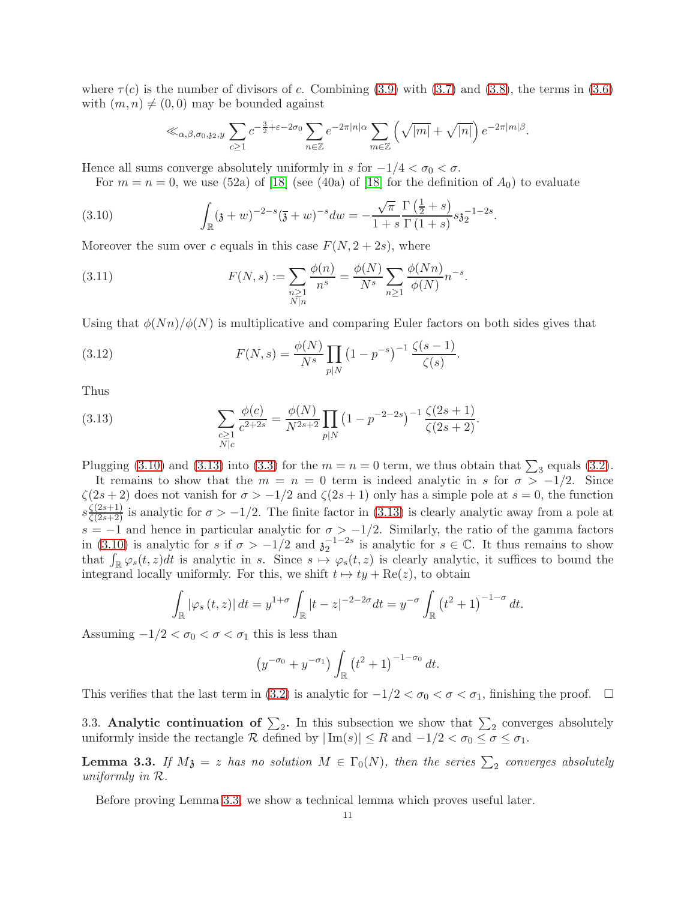where  $\tau(c)$  is the number of divisors of c. Combining [\(3.9\)](#page-9-4) with [\(3.7\)](#page-9-5) and [\(3.8\)](#page-9-6), the terms in [\(3.6\)](#page-9-1) with  $(m, n) \neq (0, 0)$  may be bounded against

<span id="page-10-1"></span>
$$
\ll_{\alpha,\beta,\sigma_0,\mathfrak{z}_2,\mathfrak{y}} \sum_{c\geq 1} c^{-\frac{3}{2}+\varepsilon-2\sigma_0} \sum_{n\in\mathbb{Z}} e^{-2\pi|n|\alpha} \sum_{m\in\mathbb{Z}} \left(\sqrt{|m|}+\sqrt{|n|}\right) e^{-2\pi|m|\beta}.
$$

Hence all sums converge absolutely uniformly in s for  $-1/4 < \sigma_0 < \sigma$ .

For  $m = n = 0$ , we use (52a) of [\[18\]](#page-27-25) (see (40a) of [18] for the definition of  $A_0$ ) to evaluate

(3.10) 
$$
\int_{\mathbb{R}} (3+w)^{-2-s} (\overline{3}+w)^{-s} dw = -\frac{\sqrt{\pi}}{1+s} \frac{\Gamma(\frac{1}{2}+s)}{\Gamma(1+s)} s \mathfrak{z}_2^{-1-2s}.
$$

Moreover the sum over c equals in this case  $F(N, 2+2s)$ , where

<span id="page-10-3"></span>(3.11) 
$$
F(N,s) := \sum_{\substack{n \geq 1 \\ N \mid n}} \frac{\phi(n)}{n^s} = \frac{\phi(N)}{N^s} \sum_{n \geq 1} \frac{\phi(Nn)}{\phi(N)} n^{-s}.
$$

Using that  $\phi(Nn)/\phi(N)$  is multiplicative and comparing Euler factors on both sides gives that

<span id="page-10-4"></span>(3.12) 
$$
F(N,s) = \frac{\phi(N)}{N^s} \prod_{p|N} (1 - p^{-s})^{-1} \frac{\zeta(s-1)}{\zeta(s)}.
$$

Thus

<span id="page-10-2"></span>(3.13) 
$$
\sum_{\substack{c \ge 1 \\ N \mid c}} \frac{\phi(c)}{c^{2+2s}} = \frac{\phi(N)}{N^{2s+2}} \prod_{p \mid N} \left(1 - p^{-2-2s}\right)^{-1} \frac{\zeta(2s+1)}{\zeta(2s+2)}.
$$

Plugging [\(3.10\)](#page-10-1) and [\(3.13\)](#page-10-2) into [\(3.3\)](#page-9-0) for the  $m = n = 0$  term, we thus obtain that  $\sum_3$  equals [\(3.2\)](#page-8-3).

It remains to show that the  $m = n = 0$  term is indeed analytic in s for  $\sigma > -1/2$ . Since  $\zeta(2s+2)$  does not vanish for  $\sigma > -1/2$  and  $\zeta(2s+1)$  only has a simple pole at  $s = 0$ , the function  $s\frac{\zeta(2s+1)}{\zeta(2s+2)}$  is analytic for  $\sigma > -1/2$ . The finite factor in [\(3.13\)](#page-10-2) is clearly analytic away from a pole at s = −1 and hence in particular analytic for  $\sigma > -1/2$ . Similarly, the ratio of the gamma factors in [\(3.10\)](#page-10-1) is analytic for s if  $\sigma > -1/2$  and  $\sigma_2^{-1-2s}$  is analytic for  $s \in \mathbb{C}$ . It thus remains to show that  $\int_{\mathbb{R}} \varphi_s(t, z) dt$  is analytic in s. Since  $s \mapsto \varphi_s(t, z)$  is clearly analytic, it suffices to bound the integrand locally uniformly. For this, we shift  $t \mapsto ty + \text{Re}(z)$ , to obtain

$$
\int_{\mathbb{R}} |\varphi_s(t, z)| dt = y^{1+\sigma} \int_{\mathbb{R}} |t - z|^{-2-2\sigma} dt = y^{-\sigma} \int_{\mathbb{R}} (t^2 + 1)^{-1-\sigma} dt.
$$

Assuming  $-1/2 < \sigma_0 < \sigma < \sigma_1$  this is less than

$$
(y^{-\sigma_0} + y^{-\sigma_1}) \int_{\mathbb{R}} (t^2 + 1)^{-1-\sigma_0} dt.
$$

This verifies that the last term in [\(3.2\)](#page-8-3) is analytic for  $-1/2 < \sigma_0 < \sigma < \sigma_1$ , finishing the proof.  $\Box$ 

3.3. Analytic continuation of  $\Sigma_2$ . In this subsection we show that  $\Sigma_2$  converges absolutely uniformly inside the rectangle R defined by  $|\text{Im}(s)| \leq R$  and  $-1/2 < \sigma_0 \leq \sigma \leq \sigma_1$ .

<span id="page-10-0"></span>**Lemma 3.3.** If  $M_3 = z$  has no solution  $M \in \Gamma_0(N)$ , then the series  $\sum_2$  converges absolutely uniformly in R.

Before proving Lemma [3.3,](#page-10-0) we show a technical lemma which proves useful later.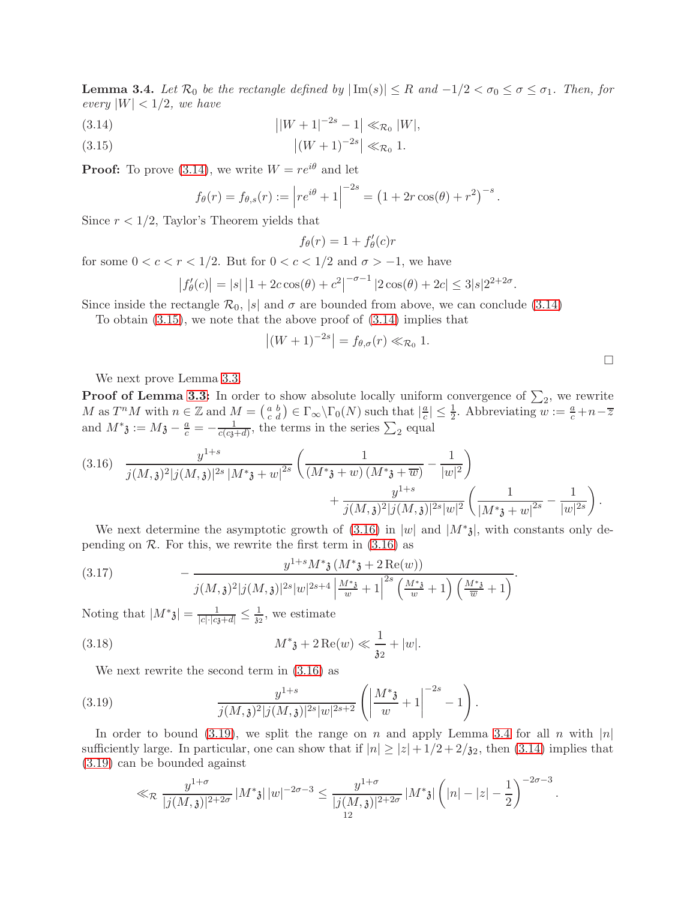<span id="page-11-4"></span>**Lemma 3.4.** Let  $\mathcal{R}_0$  be the rectangle defined by  $|\text{Im}(s)| \leq R$  and  $-1/2 < \sigma_0 \leq \sigma \leq \sigma_1$ . Then, for every  $|W| < 1/2$ , we have

- <span id="page-11-0"></span>(3.14)  $\left|W+1\right|^{-2s}-1\right|\ll_{\mathcal{R}_0} |W|,$
- <span id="page-11-1"></span>(3.15)  $|(W+1)^{-2s}| \ll_{\mathcal{R}_0} 1.$

**Proof:** To prove [\(3.14\)](#page-11-0), we write  $W = re^{i\theta}$  and let

$$
f_{\theta}(r) = f_{\theta,s}(r) := |re^{i\theta} + 1|^{-2s} = (1 + 2r \cos(\theta) + r^2)^{-s}.
$$

Since  $r < 1/2$ , Taylor's Theorem yields that

$$
f_{\theta}(r) = 1 + f'_{\theta}(c)r
$$

for some  $0 < c < r < 1/2$ . But for  $0 < c < 1/2$  and  $\sigma > -1$ , we have

$$
\left|f'_{\theta}(c)\right| = |s| \left|1 + 2c\cos(\theta) + c^2\right|^{-\sigma - 1} |2\cos(\theta) + 2c| \le 3|s| 2^{2+2\sigma}.
$$

Since inside the rectangle  $\mathcal{R}_0$ , |s| and  $\sigma$  are bounded from above, we can conclude [\(3.14\)](#page-11-0)

To obtain [\(3.15\)](#page-11-1), we note that the above proof of [\(3.14\)](#page-11-0) implies that

$$
|(W+1)^{-2s}| = f_{\theta,\sigma}(r) \ll_{\mathcal{R}_0} 1.
$$

We next prove Lemma [3.3.](#page-10-0)

**Proof of Lemma [3.3:](#page-10-0)** In order to show absolute locally uniform convergence of  $\Sigma_2$ , we rewrite M as  $T^n M$  with  $n \in \mathbb{Z}$  and  $M = \begin{pmatrix} a & b \\ c & d \end{pmatrix} \in \Gamma_\infty \backslash \Gamma_0(N)$  such that  $\left| \frac{a}{c} \right|$  $\frac{a}{c}$ |  $\leq \frac{1}{2}$ . Abbreviating  $w := \frac{a}{c} + n - \overline{z}$ and  $M^*$ **3** :=  $M$ **3** -  $\frac{a}{c}$  =  $-\frac{1}{c(c_3+d)}$ , the terms in the series  $\sum_2$  equal

<span id="page-11-2"></span>
$$
(3.16) \frac{y^{1+s}}{j(M,\mathfrak{z})^2|j(M,\mathfrak{z})|^{2s}|M^*\mathfrak{z}+w|^{2s}}\left(\frac{1}{(M^*\mathfrak{z}+w)(M^*\mathfrak{z}+\overline{w})}-\frac{1}{|w|^2}\right) + \frac{y^{1+s}}{j(M,\mathfrak{z})^2|j(M,\mathfrak{z})|^{2s}|w|^2}\left(\frac{1}{|M^*\mathfrak{z}+w|^{2s}}-\frac{1}{|w|^{2s}}\right).
$$

We next determine the asymptotic growth of  $(3.16)$  in |w| and  $|M^*_{3}|$ , with constants only depending on  $\mathcal R$ . For this, we rewrite the first term in  $(3.16)$  as

<span id="page-11-6"></span>(3.17) 
$$
- \frac{y^{1+s} M^* \mathfrak{z} \left(M^* \mathfrak{z} + 2 \operatorname{Re}(w)\right)}{j(M, \mathfrak{z})^2 |j(M, \mathfrak{z})|^{2s} |w|^{2s+4} \left|\frac{M^* \mathfrak{z}}{w} + 1\right|^{2s} \left(\frac{M^* \mathfrak{z}}{w} + 1\right) \left(\frac{M^* \mathfrak{z}}{w} + 1\right)}.
$$

Noting that  $|M^*_{\mathfrak{z}}| = \frac{1}{|c| \cdot |c_{\mathfrak{z}} + d|} \leq \frac{1}{\mathfrak{z}_2}$ , we estimate

(3.18) 
$$
M^* \mathfrak{z} + 2 \operatorname{Re}(w) \ll \frac{1}{\mathfrak{z}_2} + |w|.
$$

<span id="page-11-5"></span>We next rewrite the second term in [\(3.16\)](#page-11-2) as

(3.19) 
$$
\frac{y^{1+s}}{j(M,\mathfrak{z})^2|j(M,\mathfrak{z})|^{2s}|w|^{2s+2}}\left(\left|\frac{M^*\mathfrak{z}}{w}+1\right|^{-2s}-1\right).
$$

In order to bound [\(3.19\)](#page-11-3), we split the range on n and apply Lemma [3.4](#page-11-4) for all n with  $|n|$ sufficiently large. In particular, one can show that if  $|n| \ge |z| + 1/2 + 2/32$ , then [\(3.14\)](#page-11-0) implies that [\(3.19\)](#page-11-3) can be bounded against

<span id="page-11-3"></span>
$$
\ll_{\mathcal{R}} \frac{y^{1+\sigma}}{|j(M,\mathfrak{z})|^{2+2\sigma}} \, |M^*\mathfrak{z}| \, |w|^{-2\sigma-3} \leq \frac{y^{1+\sigma}}{|j(M,\mathfrak{z})|^{2+2\sigma}} \, |M^*\mathfrak{z}| \left(|n|-|z|-\frac{1}{2}\right)^{-2\sigma-3}.
$$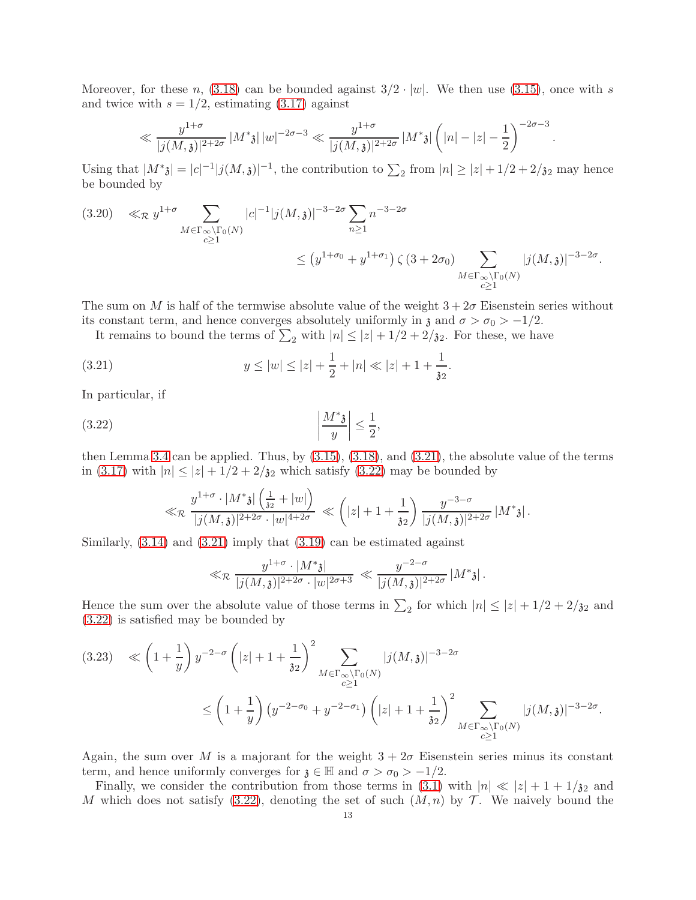Moreover, for these n, [\(3.18\)](#page-11-5) can be bounded against  $3/2 \cdot |w|$ . We then use [\(3.15\)](#page-11-1), once with s and twice with  $s = 1/2$ , estimating  $(3.17)$  against

$$
\ll \frac{y^{1+\sigma}}{|j(M,\mathfrak{z})|^{2+2\sigma}} |M^*\mathfrak{z}| |w|^{-2\sigma-3} \ll \frac{y^{1+\sigma}}{|j(M,\mathfrak{z})|^{2+2\sigma}} |M^*\mathfrak{z}| \left(|n|-|z|-\frac{1}{2}\right)^{-2\sigma-3}
$$

.

Using that  $|M^*_{\mathbf{\hat{3}}} | = |c|^{-1} |j(M,\mathbf{\hat{3}})|^{-1}$ , the contribution to  $\sum_2$  from  $|n| \geq |z| + 1/2 + 2/3^2$  may hence be bounded by

<span id="page-12-2"></span>
$$
(3.20) \ll_{\mathcal{R}} y^{1+\sigma} \sum_{\substack{M \in \Gamma_{\infty} \backslash \Gamma_0(N) \\ c \ge 1}} |c|^{-1} |j(M, \mathfrak{z})|^{-3-2\sigma} \sum_{n \ge 1} n^{-3-2\sigma} \n\le (y^{1+\sigma_0} + y^{1+\sigma_1}) \zeta(3+2\sigma_0) \sum_{\substack{M \in \Gamma_{\infty} \backslash \Gamma_0(N) \\ c \ge 1}} |j(M, \mathfrak{z})|^{-3-2\sigma}.
$$

The sum on M is half of the termwise absolute value of the weight  $3 + 2\sigma$  Eisenstein series without its constant term, and hence converges absolutely uniformly in  $\mathfrak z$  and  $\sigma > \sigma_0 > -1/2$ .

It remains to bound the terms of  $\sum_2$  with  $|n| \leq |z| + 1/2 + 2/32$ . For these, we have

(3.21) 
$$
y \le |w| \le |z| + \frac{1}{2} + |n| \ll |z| + 1 + \frac{1}{32}.
$$

In particular, if

$$
\left|\frac{M^*3}{y}\right| \le \frac{1}{2},
$$

then Lemma [3.4](#page-11-4) can be applied. Thus, by [\(3.15\)](#page-11-1), [\(3.18\)](#page-11-5), and [\(3.21\)](#page-12-0), the absolute value of the terms in [\(3.17\)](#page-11-6) with  $|n| \leq |z| + 1/2 + 2/\mathfrak{z}_2$  which satisfy [\(3.22\)](#page-12-1) may be bounded by

<span id="page-12-1"></span><span id="page-12-0"></span>
$$
\ll_{\mathcal{R}} \frac{y^{1+\sigma}\cdot \left|M^*\mathfrak{z}\right| \left(\frac{1}{\mathfrak{z}_2}+|w|\right)}{|j(M,\mathfrak{z})|^{2+2\sigma}\cdot |w|^{4+2\sigma}} \ll \left(|z|+1+\frac{1}{\mathfrak{z}_2}\right) \frac{y^{-3-\sigma}}{|j(M,\mathfrak{z})|^{2+2\sigma}}\left|M^*\mathfrak{z}\right|.
$$

Similarly,  $(3.14)$  and  $(3.21)$  imply that  $(3.19)$  can be estimated against

$$
\ll_{\mathcal{R}} \frac{y^{1+\sigma} \cdot |M^*\mathfrak{z}|}{|j(M,\mathfrak{z})|^{2+2\sigma} \cdot |w|^{2\sigma+3}} \ll \frac{y^{-2-\sigma}}{|j(M,\mathfrak{z})|^{2+2\sigma}} |M^*\mathfrak{z}|.
$$

Hence the sum over the absolute value of those terms in  $\sum_2$  for which  $|n| \leq |z| + 1/2 + 2/32$  and [\(3.22\)](#page-12-1) is satisfied may be bounded by

<span id="page-12-3"></span>
$$
(3.23) \le \left(1+\frac{1}{y}\right)y^{-2-\sigma}\left(|z|+1+\frac{1}{32}\right)^2 \sum_{\substack{M\in\Gamma_{\infty}\backslash\Gamma_0(N)\\c\ge1}}|j(M,\mathfrak{z})|^{-3-2\sigma}
$$
  

$$
\le \left(1+\frac{1}{y}\right)\left(y^{-2-\sigma_0}+y^{-2-\sigma_1}\right)\left(|z|+1+\frac{1}{32}\right)^2 \sum_{\substack{M\in\Gamma_{\infty}\backslash\Gamma_0(N)\\c\ge1}}|j(M,\mathfrak{z})|^{-3-2\sigma}.
$$

Again, the sum over M is a majorant for the weight  $3 + 2\sigma$  Eisenstein series minus its constant term, and hence uniformly converges for  $\mathfrak{z} \in \mathbb{H}$  and  $\sigma > \sigma_0 > -1/2$ .

Finally, we consider the contribution from those terms in [\(3.1\)](#page-8-2) with  $|n| \ll |z| + 1 + 1/\mathfrak{z}_2$  and M which does not satisfy [\(3.22\)](#page-12-1), denoting the set of such  $(M, n)$  by T. We naively bound the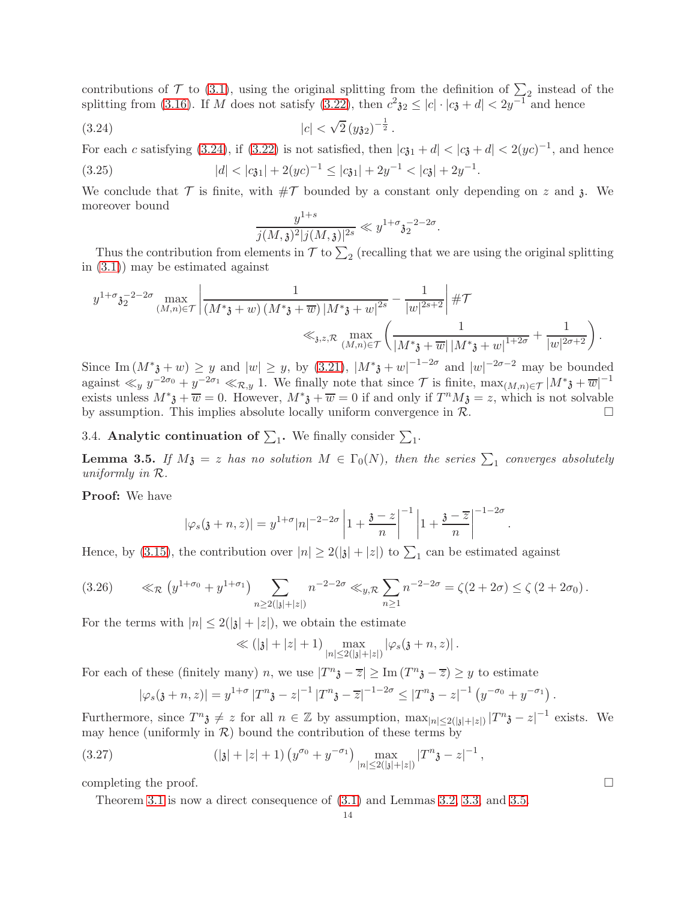contributions of  $\mathcal T$  to [\(3.1\)](#page-8-2), using the original splitting from the definition of  $\sum_{i=1}^{\infty}$  instead of the splitting from [\(3.16\)](#page-11-2). If M does not satisfy [\(3.22\)](#page-12-1), then  $c^2 \mathfrak{z}_2 \leq |c| \cdot |c \mathfrak{z} + d| < 2y^{-1}$  and hence

$$
|c| < \sqrt{2} \left( y \mathfrak{z}_2 \right)^{-\frac{1}{2}}.
$$

For each c satisfying [\(3.24\)](#page-13-1), if [\(3.22\)](#page-12-1) is not satisfied, then  $|c_{31} + d| < |c_{3} + d| < 2(yc)^{-1}$ , and hence (3.25)  $|d| < |c_{31}| + 2(yc)^{-1} \leq |c_{31}| + 2y^{-1} < |c_{3}| + 2y^{-1}.$ 

We conclude that  $\mathcal T$  is finite, with  $\#\mathcal T$  bounded by a constant only depending on z and z. We moreover bound

<span id="page-13-2"></span><span id="page-13-1"></span>
$$
\frac{y^{1+s}}{j(M,\mathfrak{z})^2|j(M,\mathfrak{z})|^{2s}} \ll y^{1+\sigma} \mathfrak{z}_2^{-2-2\sigma}.
$$

Thus the contribution from elements in  $\mathcal T$  to  $\sum_2$  (recalling that we are using the original splitting in [\(3.1\)](#page-8-2)) may be estimated against

$$
y^{1+\sigma} \mathfrak{z}_{2}^{-2-2\sigma} \max_{(M,n)\in\mathcal{T}} \left| \frac{1}{(M^{*}\mathfrak{z}+w) (M^{*}\mathfrak{z}+\overline{w}) |M^{*}\mathfrak{z}+w|^{2s}} - \frac{1}{|w|^{2s+2}} \right| \# \mathcal{T} \n\ll_{\mathfrak{z},z,\mathcal{R}} \max_{(M,n)\in\mathcal{T}} \left( \frac{1}{|M^{*}\mathfrak{z}+\overline{w}| |M^{*}\mathfrak{z}+w|^{1+2\sigma}} + \frac{1}{|w|^{2\sigma+2}} \right).
$$

Since Im  $(M^*_{\delta} + w) \geq y$  and  $|w| \geq y$ , by [\(3.21\)](#page-12-0),  $|M^*_{\delta} + w|^{-1-2\sigma}$  and  $|w|^{-2\sigma-2}$  may be bounded against  $\ll_y y^{-2\sigma_0} + y^{-2\sigma_1} \ll_{\mathcal{R},y} 1$ . We finally note that since  $\mathcal{T}$  is finite,  $\max_{(M,n)\in\mathcal{T}} |M^*\mathfrak{z} + \overline{w}|^{-1}$ exists unless  $M^*\mathfrak{z} + \overline{w} = 0$ . However,  $M^*\mathfrak{z} + \overline{w} = 0$  if and only if  $T^nM\mathfrak{z} = z$ , which is not solvable by assumption. This implies absolute locally uniform convergence in  $\mathcal{R}$ .

3.4. Analytic continuation of  $\Sigma_1$ . We finally consider  $\Sigma_1$ .

<span id="page-13-0"></span>**Lemma 3.5.** If  $M_3 = z$  has no solution  $M \in \Gamma_0(N)$ , then the series  $\sum_1$  converges absolutely uniformly in R.

Proof: We have

$$
|\varphi_s(\mathfrak{z}+n,z)| = y^{1+\sigma} |n|^{-2-2\sigma} \left| 1 + \frac{\mathfrak{z} - z}{n} \right|^{-1} \left| 1 + \frac{\mathfrak{z} - \overline{z}}{n} \right|^{-1-2\sigma}
$$

Hence, by [\(3.15\)](#page-11-1), the contribution over  $|n| \ge 2(|\mathfrak{z}| + |z|)$  to  $\sum_{1}$  can be estimated against

<span id="page-13-3"></span>
$$
(3.26) \qquad \ll_{\mathcal{R}} \left( y^{1+\sigma_0} + y^{1+\sigma_1} \right) \sum_{n \ge 2(|\mathfrak{z}| + |z|)} n^{-2-2\sigma} \ll_{y,\mathcal{R}} \sum_{n \ge 1} n^{-2-2\sigma} = \zeta(2+2\sigma) \le \zeta(2+2\sigma_0).
$$

For the terms with  $|n| \leq 2(|\mathfrak{z}| + |z|)$ , we obtain the estimate

$$
\ll
$$
 (|3| + |z| + 1)  $\max_{|n| \le 2(|\mathfrak{z}| + |z|)} |\varphi_s(\mathfrak{z} + n, z)|$ .

For each of these (finitely many) n, we use  $|T^n \mathfrak{z} - \overline{z}| \geq \text{Im}(T^n \mathfrak{z} - \overline{z}) \geq y$  to estimate

<span id="page-13-4"></span>
$$
|\varphi_s(\mathfrak{z}+n,z)|=y^{1+\sigma}|T^n\mathfrak{z}-z|^{-1}|T^n\mathfrak{z}-\overline{z}|^{-1-2\sigma}\leq |T^n\mathfrak{z}-z|^{-1}\left(y^{-\sigma_0}+y^{-\sigma_1}\right).
$$

Furthermore, since  $T^n \mathfrak{z} \neq z$  for all  $n \in \mathbb{Z}$  by assumption,  $\max_{|n| \leq 2(|\mathfrak{z}|+|z|)} |T^n \mathfrak{z} - z|^{-1}$  exists. We may hence (uniformly in  $\mathcal{R}$ ) bound the contribution of these terms by

(3.27) 
$$
(|\mathfrak{z}|+|z|+1) \left(y^{\sigma_0}+y^{-\sigma_1}\right) \max_{|n|\leq 2(|\mathfrak{z}|+|z|)} |T^n \mathfrak{z}-z|^{-1},
$$

completing the proof.  $\Box$ 

Theorem [3.1](#page-8-0) is now a direct consequence of [\(3.1\)](#page-8-2) and Lemmas [3.2,](#page-8-1) [3.3,](#page-10-0) and [3.5.](#page-13-0)

.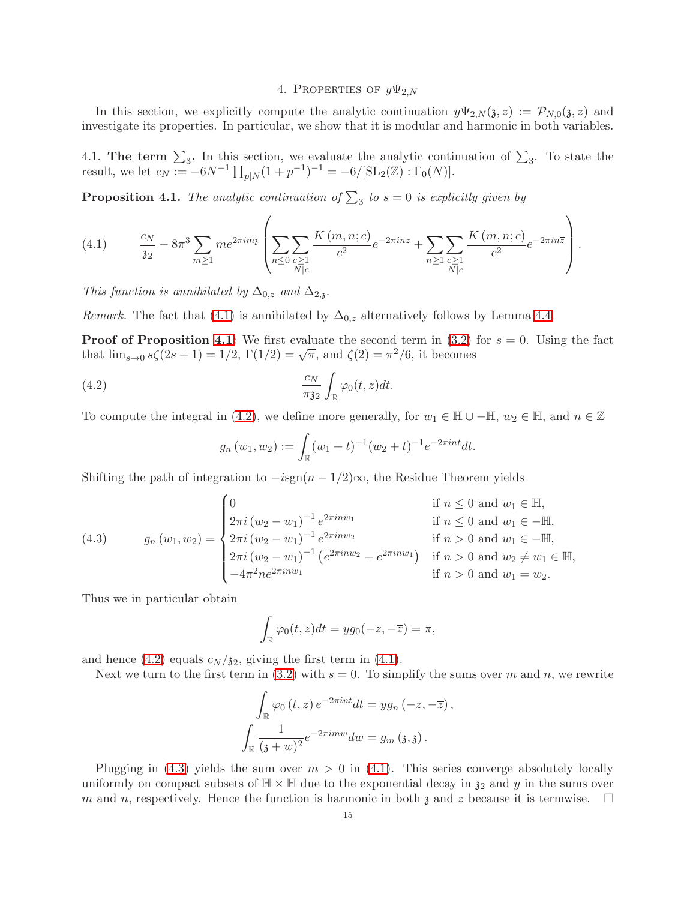### 4. PROPERTIES OF  $y\Psi_{2,N}$

<span id="page-14-0"></span>In this section, we explicitly compute the analytic continuation  $y\Psi_{2,N}(\mathfrak{z},z) := \mathcal{P}_{N,0}(\mathfrak{z},z)$  and investigate its properties. In particular, we show that it is modular and harmonic in both variables.

4.1. The term  $\Sigma_3$ . In this section, we evaluate the analytic continuation of  $\Sigma_3$ . To state the result, we let  $c_N := -6N^{-1} \prod_{p \mid N} (1 + p^{-1})^{-1} = -6/[\text{SL}_2(\mathbb{Z}) : \Gamma_0(N)].$ 

<span id="page-14-2"></span>**Proposition 4.1.** The analytic continuation of  $\sum_3$  to  $s = 0$  is explicitly given by

<span id="page-14-1"></span>(4.1) 
$$
\frac{c_N}{32} - 8\pi^3 \sum_{m \ge 1} m e^{2\pi i m_3} \left( \sum_{n \le 0} \sum_{\substack{c \ge 1 \\ N \mid c}} \frac{K(m, n; c)}{c^2} e^{-2\pi i n z} + \sum_{n \ge 1} \sum_{\substack{c \ge 1 \\ N \mid c}} \frac{K(m, n; c)}{c^2} e^{-2\pi i n \overline{z}} \right).
$$

This function is annihilated by  $\Delta_{0,z}$  and  $\Delta_{2,y}$ .

*Remark.* The fact that [\(4.1\)](#page-14-1) is annihilated by  $\Delta_{0,z}$  alternatively follows by Lemma [4.4.](#page-17-1)

**Proof of Proposition [4.1:](#page-14-2)** We first evaluate the second term in  $(3.2)$  for  $s = 0$ . Using the fact that  $\lim_{s\to 0} s\zeta(2s+1) = 1/2$ ,  $\Gamma(1/2) = \sqrt{\pi}$ , and  $\zeta(2) = \pi^2/6$ , it becomes

(4.2) 
$$
\frac{c_N}{\pi \lambda_2} \int_{\mathbb{R}} \varphi_0(t, z) dt.
$$

To compute the integral in [\(4.2\)](#page-14-3), we define more generally, for  $w_1 \in \mathbb{H} \cup -\mathbb{H}$ ,  $w_2 \in \mathbb{H}$ , and  $n \in \mathbb{Z}$ 

<span id="page-14-3"></span>
$$
g_n(w_1, w_2) := \int_{\mathbb{R}} (w_1 + t)^{-1} (w_2 + t)^{-1} e^{-2\pi int} dt.
$$

Shifting the path of integration to  $-isgn(n-1/2)\infty$ , the Residue Theorem yields

<span id="page-14-4"></span>(4.3) 
$$
g_n(w_1, w_2) = \begin{cases} 0 & \text{if } n \leq 0 \text{ and } w_1 \in \mathbb{H}, \\ 2\pi i (w_2 - w_1)^{-1} e^{2\pi i n w_1} & \text{if } n \leq 0 \text{ and } w_1 \in -\mathbb{H}, \\ 2\pi i (w_2 - w_1)^{-1} e^{2\pi i n w_2} & \text{if } n > 0 \text{ and } w_1 \in -\mathbb{H}, \\ 2\pi i (w_2 - w_1)^{-1} (e^{2\pi i n w_2} - e^{2\pi i n w_1}) & \text{if } n > 0 \text{ and } w_2 \neq w_1 \in \mathbb{H}, \\ -4\pi^2 n e^{2\pi i n w_1} & \text{if } n > 0 \text{ and } w_1 = w_2. \end{cases}
$$

Thus we in particular obtain

$$
\int_{\mathbb{R}} \varphi_0(t, z) dt = yg_0(-z, -\overline{z}) = \pi,
$$

and hence [\(4.2\)](#page-14-3) equals  $c_N / \mathfrak{z}_2$ , giving the first term in [\(4.1\)](#page-14-1).

Next we turn to the first term in [\(3.2\)](#page-8-3) with  $s = 0$ . To simplify the sums over m and n, we rewrite

$$
\int_{\mathbb{R}} \varphi_0(t, z) e^{-2\pi int} dt = yg_n(-z, -\overline{z}),
$$

$$
\int_{\mathbb{R}} \frac{1}{(\mathfrak{z} + w)^2} e^{-2\pi imw} dw = g_m(\mathfrak{z}, \mathfrak{z}).
$$

Plugging in  $(4.3)$  yields the sum over  $m > 0$  in  $(4.1)$ . This series converge absolutely locally uniformly on compact subsets of  $\mathbb{H} \times \mathbb{H}$  due to the exponential decay in  $\mathfrak{z}_2$  and y in the sums over m and n, respectively. Hence the function is harmonic in both  $\chi$  and  $z$  because it is termwise.  $\Box$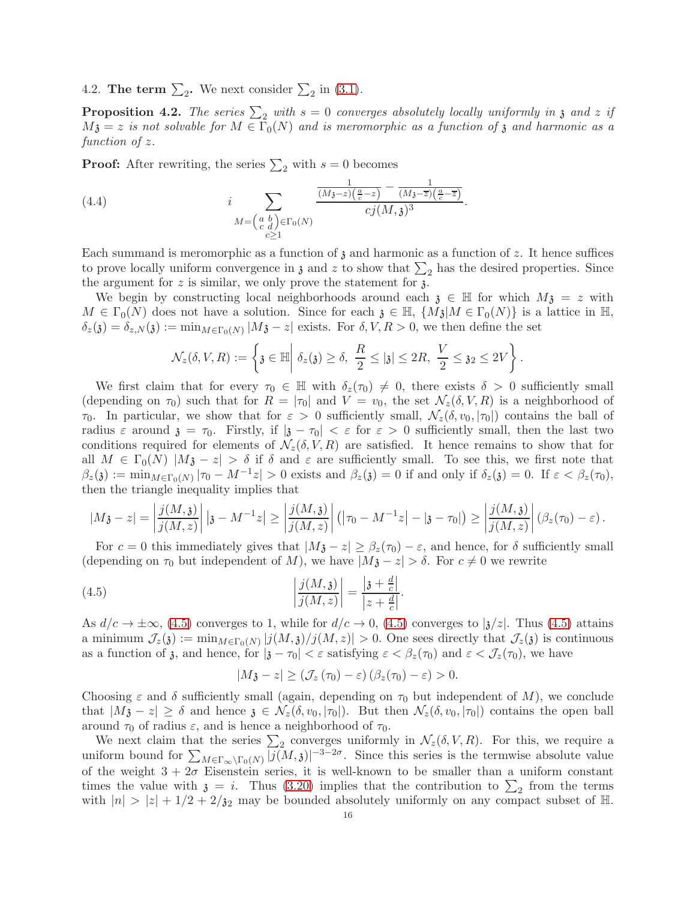4.2. The term  $\sum_2$ . We next consider  $\sum_2$  in [\(3.1\)](#page-8-2).

<span id="page-15-1"></span>**Proposition 4.2.** The series  $\sum_2$  with  $s = 0$  converges absolutely locally uniformly in  $\mathfrak{z}$  and  $z$  if  $M_3 = z$  is not solvable for  $M \in \Gamma_0(N)$  and is meromorphic as a function of  $\mathfrak z$  and harmonic as a function of z.

**Proof:** After rewriting, the series  $\sum_2$  with  $s = 0$  becomes

<span id="page-15-2"></span>(4.4) 
$$
i \sum_{\substack{M = \begin{pmatrix} a & b \\ c & d \end{pmatrix} \in \Gamma_0(N)}} \frac{\frac{1}{(M_3 - z)(\frac{a}{c} - z)} - \frac{1}{(M_3 - \overline{z})(\frac{a}{c} - \overline{z})}}{cj(M, \mathfrak{z})^3}.
$$

Each summand is meromorphic as a function of  $\chi$  and harmonic as a function of z. It hence suffices to prove locally uniform convergence in  $\mathfrak z$  and  $z$  to show that  $\sum_2$  has the desired properties. Since the argument for  $z$  is similar, we only prove the statement for  $\chi$ .

We begin by constructing local neighborhoods around each  $\mathfrak{z} \in \mathbb{H}$  for which  $M\mathfrak{z} = z$  with  $M \in \Gamma_0(N)$  does not have a solution. Since for each  $\mathfrak{z} \in \mathbb{H}$ ,  $\{M\mathfrak{z}|M \in \Gamma_0(N)\}$  is a lattice in  $\mathbb{H}$ ,  $\delta_z(\mathfrak{z}) = \delta_{z,N}(\mathfrak{z}) := \min_{M \in \Gamma_0(N)} |M\mathfrak{z} - z|$  exists. For  $\delta, V, R > 0$ , we then define the set

$$
\mathcal{N}_z(\delta,V,R):=\left\{\mathfrak{z}\in\mathbb{H}\bigg|\ \delta_z(\mathfrak{z})\geq \delta,\ \frac{R}{2}\leq |\mathfrak{z}|\leq 2R,\ \frac{V}{2}\leq \mathfrak{z}_2\leq 2V\right\}.
$$

We first claim that for every  $\tau_0 \in \mathbb{H}$  with  $\delta_z(\tau_0) \neq 0$ , there exists  $\delta > 0$  sufficiently small (depending on  $\tau_0$ ) such that for  $R = |\tau_0|$  and  $V = v_0$ , the set  $\mathcal{N}_z(\delta, V, R)$  is a neighborhood of  $\tau_0$ . In particular, we show that for  $\varepsilon > 0$  sufficiently small,  $\mathcal{N}_z(\delta, v_0, |\tau_0|)$  contains the ball of radius  $\varepsilon$  around  $\zeta = \tau_0$ . Firstly, if  $|\zeta - \tau_0| < \varepsilon$  for  $\varepsilon > 0$  sufficiently small, then the last two conditions required for elements of  $\mathcal{N}_z(\delta, V, R)$  are satisfied. It hence remains to show that for all  $M \in \Gamma_0(N)$   $|M_{\mathfrak{F}} - z| > \delta$  if  $\delta$  and  $\varepsilon$  are sufficiently small. To see this, we first note that  $\beta_z(\mathfrak{z}) := \min_{M \in \Gamma_0(N)} |\tau_0 - M^{-1}z| > 0$  exists and  $\beta_z(\mathfrak{z}) = 0$  if and only if  $\delta_z(\mathfrak{z}) = 0$ . If  $\varepsilon < \beta_z(\tau_0)$ , then the triangle inequality implies that

$$
|M\mathfrak{z}-z|=\left|\frac{j(M,\mathfrak{z})}{j(M,z)}\right| \left|\mathfrak{z}-M^{-1}z\right|\geq \left|\frac{j(M,\mathfrak{z})}{j(M,z)}\right|\left(\left|\tau_0-M^{-1}z\right|-\left|\mathfrak{z}-\tau_0\right|\right)\geq \left|\frac{j(M,\mathfrak{z})}{j(M,z)}\right|(\beta_z(\tau_0)-\varepsilon)\,.
$$

For  $c = 0$  this immediately gives that  $|M3 - z| \geq \beta_z(\tau_0) - \varepsilon$ , and hence, for  $\delta$  sufficiently small (depending on  $\tau_0$  but independent of M), we have  $|M3-z| > \delta$ . For  $c \neq 0$  we rewrite

(4.5) 
$$
\left| \frac{j(M, \mathfrak{z})}{j(M, z)} \right| = \frac{\left| \mathfrak{z} + \frac{d}{c} \right|}{|z + \frac{d}{c}|}.
$$

As  $d/c \to \pm \infty$ , [\(4.5\)](#page-15-0) converges to 1, while for  $d/c \to 0$ , (4.5) converges to  $|\frac{1}{2}\rangle z|$ . Thus (4.5) attains a minimum  $\mathcal{J}_z(\mathfrak{z}) := \min_{M \in \Gamma_0(N)} |j(M, \mathfrak{z})/j(M, z)| > 0$ . One sees directly that  $\mathcal{J}_z(\mathfrak{z})$  is continuous as a function of z, and hence, for  $|z - \tau_0| < \varepsilon$  satisfying  $\varepsilon < \beta_z(\tau_0)$  and  $\varepsilon < \mathcal{J}_z(\tau_0)$ , we have

<span id="page-15-0"></span>
$$
|M_{\mathfrak{F}}-z|\geq \left(\mathcal{J}_{z}\left(\tau_{0}\right)-\varepsilon\right)\left(\beta_{z}(\tau_{0})-\varepsilon\right)>0.
$$

Choosing  $\varepsilon$  and  $\delta$  sufficiently small (again, depending on  $\tau_0$  but independent of M), we conclude that  $|M_{\mathfrak{F}} - z| \geq \delta$  and hence  $\mathfrak{F} \in \mathcal{N}_z(\delta, v_0, |\tau_0|)$ . But then  $\mathcal{N}_z(\delta, v_0, |\tau_0|)$  contains the open ball around  $\tau_0$  of radius  $\varepsilon$ , and is hence a neighborhood of  $\tau_0$ .

We next claim that the series  $\sum_2$  converges uniformly in  $\mathcal{N}_z(\delta, V, R)$ . For this, we require a uniform bound for  $\sum_{M\in\Gamma_{\infty}\backslash\Gamma_0(N)}|j(M,\mathfrak{z})|^{-3-2\sigma}$ . Since this series is the termwise absolute value of the weight  $3 + 2\sigma$  Eisenstein series, it is well-known to be smaller than a uniform constant times the value with  $\mathfrak{z} = i$ . Thus [\(3.20\)](#page-12-2) implies that the contribution to  $\sum_{2}$  from the terms with  $|n| > |z| + 1/2 + 2/32$  may be bounded absolutely uniformly on any compact subset of H.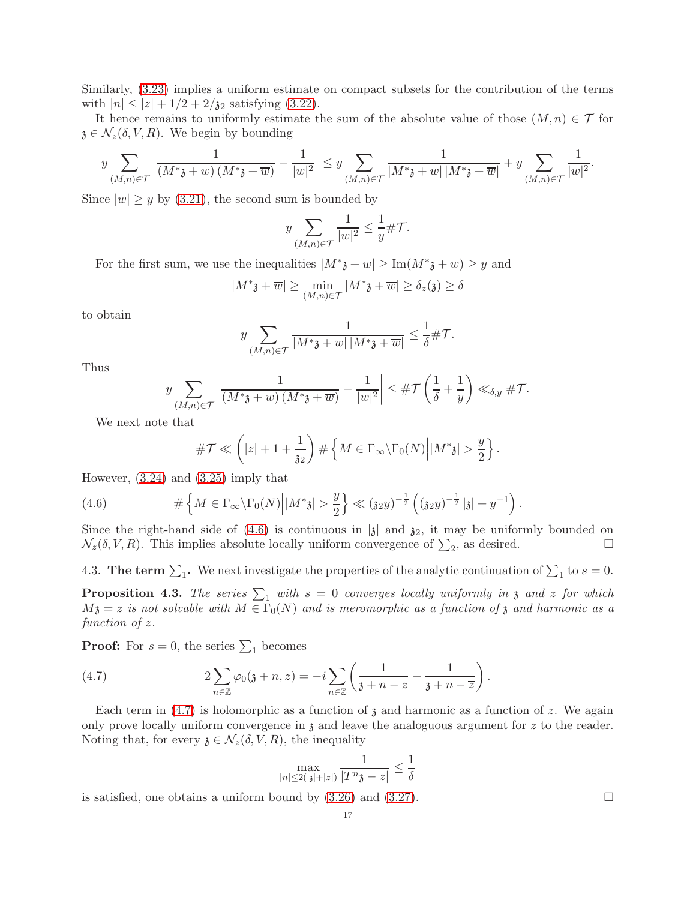Similarly, [\(3.23\)](#page-12-3) implies a uniform estimate on compact subsets for the contribution of the terms with  $|n| \le |z| + 1/2 + 2/\mathfrak{z}_2$  satisfying [\(3.22\)](#page-12-1).

It hence remains to uniformly estimate the sum of the absolute value of those  $(M, n) \in \mathcal{T}$  for  $\mathfrak{z} \in \mathcal{N}_z(\delta, V, R)$ . We begin by bounding

$$
y\sum_{(M,n)\in\mathcal{T}}\left|\frac{1}{(M^*\mathfrak{z}+w)\,(M^*\mathfrak{z}+\overline{w})}-\frac{1}{|w|^2}\right|\leq y\sum_{(M,n)\in\mathcal{T}}\frac{1}{|M^*\mathfrak{z}+w|\,|M^*\mathfrak{z}+\overline{w}|}+y\sum_{(M,n)\in\mathcal{T}}\frac{1}{|w|^2}.
$$

Since  $|w| \geq y$  by [\(3.21\)](#page-12-0), the second sum is bounded by

$$
y \sum_{(M,n)\in\mathcal{T}} \frac{1}{|w|^2} \le \frac{1}{y} \#\mathcal{T}.
$$

For the first sum, we use the inequalities  $|M^*_{\mathfrak{z}} + w| \geq \text{Im}(M^*_{\mathfrak{z}} + w) \geq y$  and

$$
|M^*\mathfrak{z} + \overline{w}| \ge \min_{(M,n)\in\mathcal{T}} |M^*\mathfrak{z} + \overline{w}| \ge \delta_z(\mathfrak{z}) \ge \delta
$$

to obtain

$$
y \sum_{(M,n)\in\mathcal{T}} \frac{1}{|M^*\mathfrak{z}+w|\,|M^*\mathfrak{z}+\overline{w}|} \leq \frac{1}{\delta} \#\mathcal{T}.
$$

Thus

$$
y \sum_{(M,n)\in\mathcal{T}} \left| \frac{1}{(M^*\mathfrak{z}+w) (M^*\mathfrak{z}+\overline{w})} - \frac{1}{|w|^2} \right| \leq #\mathcal{T}\left(\frac{1}{\delta}+\frac{1}{y}\right) \ll_{\delta,y} #\mathcal{T}.
$$

We next note that

<span id="page-16-0"></span>
$$
\#\mathcal{T} \ll \left(|z| + 1 + \frac{1}{32}\right) \#\left\{M \in \Gamma_{\infty} \backslash \Gamma_0(N) \middle| |M^*3| > \frac{y}{2}\right\}.
$$

However, [\(3.24\)](#page-13-1) and [\(3.25\)](#page-13-2) imply that

(4.6) 
$$
\#\left\{M \in \Gamma_{\infty} \backslash \Gamma_0(N) \middle| |M^*3| > \frac{y}{2}\right\} \ll (32y)^{-\frac{1}{2}} \left( (32y)^{-\frac{1}{2}} |3| + y^{-1} \right).
$$

Since the right-hand side of [\(4.6\)](#page-16-0) is continuous in  $|\mathfrak{z}|$  and  $\mathfrak{z}_2$ , it may be uniformly bounded on  $\mathcal{N}_z(\delta, V, R)$ . This implies absolute locally uniform convergence of  $\sum_{\alpha}$ , as desired.  $\mathcal{N}_z(\delta, V, R)$ . This implies absolute locally uniform convergence of  $\sum_2$ , as desired.

4.3. The term  $\sum_1$ . We next investigate the properties of the analytic continuation of  $\sum_1$  to  $s = 0$ .

<span id="page-16-2"></span>**Proposition 4.3.** The series  $\sum_1$  with  $s = 0$  converges locally uniformly in  $\mathfrak z$  and  $z$  for which  $M_3 = z$  is not solvable with  $M \in \Gamma_0(N)$  and is meromorphic as a function of z and harmonic as a function of z.

**Proof:** For  $s = 0$ , the series  $\sum_1$  becomes

(4.7) 
$$
2\sum_{n\in\mathbb{Z}}\varphi_0(\mathfrak{z}+n,z) = -i\sum_{n\in\mathbb{Z}}\left(\frac{1}{\mathfrak{z}+n-z} - \frac{1}{\mathfrak{z}+n-\overline{z}}\right).
$$

Each term in  $(4.7)$  is holomorphic as a function of z and harmonic as a function of z. We again only prove locally uniform convergence in  $\chi$  and leave the analoguous argument for  $z$  to the reader. Noting that, for every  $\mathfrak{z} \in \mathcal{N}_z(\delta, V, R)$ , the inequality

<span id="page-16-1"></span>
$$
\max_{|n| \le 2(|\mathfrak{z}| + |z|)} \frac{1}{|T^n \mathfrak{z} - z|} \le \frac{1}{\delta}
$$

is satisfied, one obtains a uniform bound by  $(3.26)$  and  $(3.27)$ .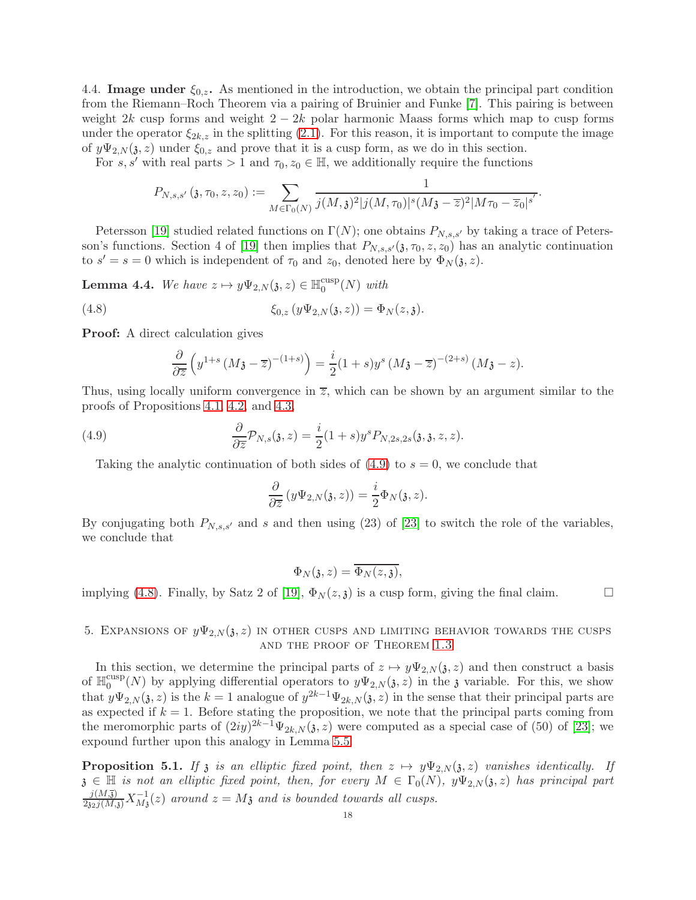4.4. Image under  $\xi_{0,z}$ . As mentioned in the introduction, we obtain the principal part condition from the Riemann–Roch Theorem via a pairing of Bruinier and Funke [\[7\]](#page-27-2). This pairing is between weight 2k cusp forms and weight  $2 - 2k$  polar harmonic Maass forms which map to cusp forms under the operator  $\xi_{2k,z}$  in the splitting [\(2.1\)](#page-5-0). For this reason, it is important to compute the image of  $y\Psi_{2,N}(\mathfrak{z}, z)$  under  $\xi_{0,z}$  and prove that it is a cusp form, as we do in this section.

For s, s' with real parts > 1 and  $\tau_0, z_0 \in \mathbb{H}$ , we additionally require the functions

$$
P_{N,s,s'}(\mathfrak{z},\tau_0,z,z_0):=\sum_{M\in\Gamma_0(N)}\frac{1}{j(M,\mathfrak{z})^2|j(M,\tau_0)|^s(M\mathfrak{z}-\overline{z})^2|M\tau_0-\overline{z}_0|^{s'}}.
$$

Petersson [\[19\]](#page-27-9) studied related functions on  $\Gamma(N)$ ; one obtains  $P_{N,s,s'}$  by taking a trace of Peters-son's functions. Section 4 of [\[19\]](#page-27-9) then implies that  $P_{N,s,s'}(\mathfrak{z}, \tau_0, z, z_0)$  has an analytic continuation to  $s' = s = 0$  which is independent of  $\tau_0$  and  $z_0$ , denoted here by  $\Phi_N(\mathfrak{z}, z)$ .

<span id="page-17-1"></span>**Lemma 4.4.** We have  $z \mapsto y\Psi_{2,N}(\mathfrak{z}, z) \in \mathbb{H}_0^{\text{cusp}}$  $_0^{\text{cusp}}(N)$  with

(4.8) 
$$
\xi_{0,z}(y\Psi_{2,N}(\mathfrak{z},z)) = \Phi_N(z,\mathfrak{z}).
$$

Proof: A direct calculation gives

<span id="page-17-3"></span>
$$
\frac{\partial}{\partial \overline{z}}\left(y^{1+s}\left(M\mathfrak{z}-\overline{z}\right)^{-(1+s)}\right)=\frac{i}{2}(1+s)y^s\left(M\mathfrak{z}-\overline{z}\right)^{-(2+s)}\left(M\mathfrak{z}-z\right).
$$

Thus, using locally uniform convergence in  $\overline{z}$ , which can be shown by an argument similar to the proofs of Propositions [4.1,](#page-14-2) [4.2,](#page-15-1) and [4.3,](#page-16-2)

(4.9) 
$$
\frac{\partial}{\partial \overline{z}} \mathcal{P}_{N,s}(\mathfrak{z},z) = \frac{i}{2} (1+s) y^s P_{N,2s,2s}(\mathfrak{z},\mathfrak{z},z,z).
$$

Taking the analytic continuation of both sides of  $(4.9)$  to  $s = 0$ , we conclude that

<span id="page-17-2"></span>
$$
\frac{\partial}{\partial \overline{z}}(y\Psi_{2,N}(\mathfrak{z},z))=\frac{i}{2}\Phi_N(\mathfrak{z},z).
$$

By conjugating both  $P_{N,s,s'}$  and s and then using (23) of [\[23\]](#page-27-1) to switch the role of the variables, we conclude that

$$
\Phi_N(\mathfrak{z},z)=\overline{\Phi_N(z,\mathfrak{z})},
$$

implying [\(4.8\)](#page-17-3). Finally, by Satz 2 of [\[19\]](#page-27-9),  $\Phi_N(z, \mathfrak{z})$  is a cusp form, giving the final claim.

## <span id="page-17-0"></span>5. EXPANSIONS OF  $y\Psi_{2,N}(\mathfrak{z},z)$  in Other cusps and limiting behavior towards the cusps and the proof of Theorem [1.3](#page-3-0)

In this section, we determine the principal parts of  $z \mapsto y\Psi_{2,N}(\mathfrak{z}, z)$  and then construct a basis of  $\mathbb{H}_0^{\text{cusp}}$  $\binom{0}{0}$  by applying differential operators to  $y\Psi_{2,N}(\mathfrak{z},z)$  in the **z** variable. For this, we show that  $y\Psi_{2,N}(\mathfrak{z},z)$  is the  $k=1$  analogue of  $y^{2k-1}\Psi_{2k,N}(\mathfrak{z},z)$  in the sense that their principal parts are as expected if  $k = 1$ . Before stating the proposition, we note that the principal parts coming from the meromorphic parts of  $(2iy)^{2k-1}\Psi_{2k,N}(\mathfrak{z},z)$  were computed as a special case of (50) of [\[23\]](#page-27-1); we expound further upon this analogy in Lemma [5.5.](#page-23-0)

<span id="page-17-4"></span>**Proposition 5.1.** If z is an elliptic fixed point, then  $z \mapsto y\Psi_{2,N}(\mathfrak{z}, z)$  vanishes identically. If  $\mathfrak{z} \in \mathbb{H}$  is not an elliptic fixed point, then, for every  $M \in \Gamma_0(N)$ ,  $y\Psi_{2,N}(\mathfrak{z},z)$  has principal part  $\frac{j(M,\overline{3})}{2a_2j(M,\overline{3})}X^{-1}_{M_3}(z)$  around  $z=M_3$  and is bounded towards all cusps.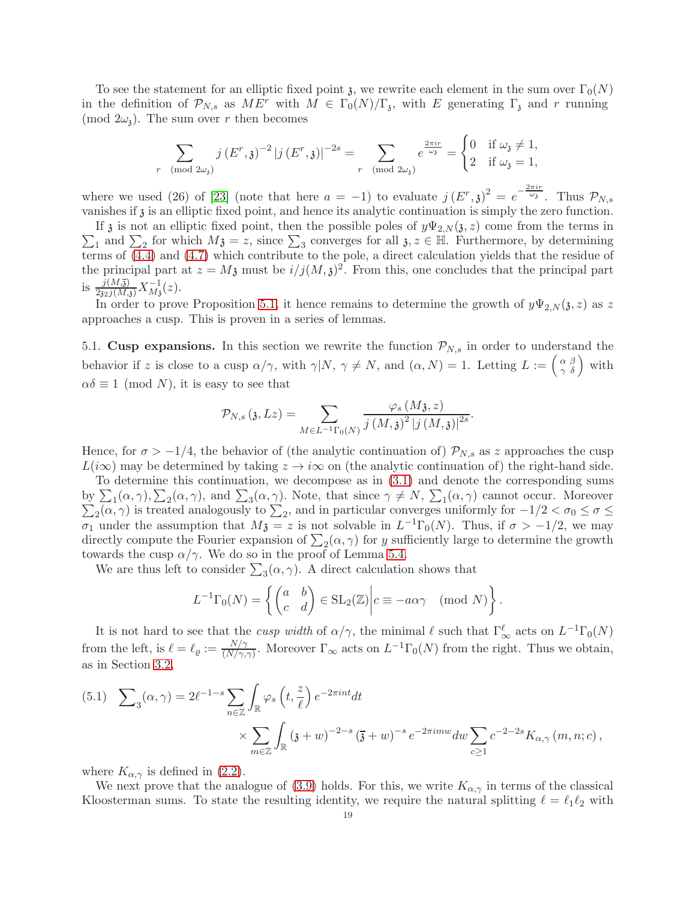To see the statement for an elliptic fixed point  $\mathfrak{z}$ , we rewrite each element in the sum over  $\Gamma_0(N)$ in the definition of  $\mathcal{P}_{N,s}$  as  $ME^r$  with  $M \in \Gamma_0(N)/\Gamma_s$ , with E generating  $\Gamma_s$  and r running (mod  $2\omega_i$ ). The sum over r then becomes

$$
\sum_{r \pmod{2\omega_{\mathfrak{z}}}} j(E^r, \mathfrak{z})^{-2} |j(E^r, \mathfrak{z})|^{-2s} = \sum_{r \pmod{2\omega_{\mathfrak{z}}}} e^{\frac{2\pi ir}{\omega_{\mathfrak{z}}}} = \begin{cases} 0 & \text{if } \omega_{\mathfrak{z}} \neq 1, \\ 2 & \text{if } \omega_{\mathfrak{z}} = 1, \end{cases}
$$

where we used (26) of [\[23\]](#page-27-1) (note that here  $a = -1$ ) to evaluate  $j(E^r, \mathfrak{z})^2 = e^{-\frac{2\pi ir}{\omega_{\mathfrak{z}}}}$ . Thus  $\mathcal{P}_{N,s}$ vanishes if  $\delta$  is an elliptic fixed point, and hence its analytic continuation is simply the zero function.

 $\sum_1$  and  $\sum_2$  for which  $M_3 = z$ , since  $\sum_3$  converges for all  $\mathfrak{z}, z \in \mathbb{H}$ . Furthermore, by determining If  $\lambda$  is not an elliptic fixed point, then the possible poles of  $y\Psi_{2,N}(\lambda, z)$  come from the terms in terms of [\(4.4\)](#page-15-2) and [\(4.7\)](#page-16-1) which contribute to the pole, a direct calculation yields that the residue of the principal part at  $z = M_3$  must be  $i/j(M,3)^2$ . From this, one concludes that the principal part is  $\frac{j(M,\overline{j})}{2j_2j(M,\overline{j})}X^{-1}_{M\overline{j}}(z)$ .

In order to prove Proposition [5.1,](#page-17-4) it hence remains to determine the growth of  $y\Psi_{2,N}(3, z)$  as z approaches a cusp. This is proven in a series of lemmas.

5.1. Cusp expansions. In this section we rewrite the function  $\mathcal{P}_{N,s}$  in order to understand the behavior if z is close to a cusp  $\alpha/\gamma$ , with  $\gamma|N, \gamma \neq N$ , and  $(\alpha, N) = 1$ . Letting  $L := \begin{pmatrix} \alpha & \beta \\ \gamma & \delta \end{pmatrix}$  with  $\alpha\delta \equiv 1 \pmod{N}$ , it is easy to see that

$$
\mathcal{P}_{N,s}\left(\mathfrak{z},Lz\right)=\sum_{M\in L^{-1}\Gamma_{0}(N)}\frac{\varphi_{s}\left(M\mathfrak{z},z\right)}{j\left(M,\mathfrak{z}\right)^{2}\left|j\left(M,\mathfrak{z}\right)\right|^{2s}}.
$$

Hence, for  $\sigma > -1/4$ , the behavior of (the analytic continuation of)  $\mathcal{P}_{N,s}$  as z approaches the cusp  $L(i\infty)$  may be determined by taking  $z \to i\infty$  on (the analytic continuation of) the right-hand side.

To determine this continuation, we decompose as in [\(3.1\)](#page-8-2) and denote the corresponding sums by  $\sum_{1} (\alpha, \gamma), \sum_{2} (\alpha, \gamma),$  and  $\sum_{3} (\alpha, \gamma)$ . Note, that since  $\gamma \neq N$ ,  $\sum_{1} (\alpha, \gamma)$  cannot occur. Moreover  $\sum_{2}$ ( $\alpha$ ,  $\gamma$ ) is treated analogously to  $\sum_{2}$ , and in particular converges uniformly for  $-1/2 < \sigma_0 \le \sigma \le$  $\sigma_1$  under the assumption that  $M_{\mathfrak{F}} = z$  is not solvable in  $L^{-1}\Gamma_0(N)$ . Thus, if  $\sigma > -1/2$ , we may directly compute the Fourier expansion of  $\sum_2(\alpha, \gamma)$  for y sufficiently large to determine the growth towards the cusp  $\alpha/\gamma$ . We do so in the proof of Lemma [5.4.](#page-20-0)

We are thus left to consider  $\sum_{3}(\alpha, \gamma)$ . A direct calculation shows that

$$
L^{-1}\Gamma_0(N) = \left\{ \begin{pmatrix} a & b \\ c & d \end{pmatrix} \in SL_2(\mathbb{Z}) \middle| c \equiv -a\alpha\gamma \pmod{N} \right\}.
$$

It is not hard to see that the *cusp width* of  $\alpha/\gamma$ , the minimal  $\ell$  such that  $\Gamma^{\ell}_{\infty}$  acts on  $L^{-1}\Gamma_0(N)$ from the left, is  $\ell = \ell_{\varrho} := \frac{N/\gamma}{(N/\gamma)^2}$  $\frac{N/\gamma}{(N/\gamma,\gamma)}$ . Moreover  $\Gamma_{\infty}$  acts on  $L^{-1}\Gamma_0(N)$  from the right. Thus we obtain, as in Section [3.2,](#page-8-4)

<span id="page-18-0"></span>(5.1) 
$$
\sum_{3}(\alpha,\gamma) = 2\ell^{-1-s} \sum_{n \in \mathbb{Z}} \int_{\mathbb{R}} \varphi_{s}\left(t,\frac{z}{\ell}\right) e^{-2\pi int} dt
$$

$$
\times \sum_{m \in \mathbb{Z}} \int_{\mathbb{R}} \left(1+\omega\right)^{-2-s} \left(\frac{z}{\ell}+\omega\right)^{-s} e^{-2\pi imw} dw \sum_{c \ge 1} c^{-2-2s} K_{\alpha,\gamma}(m,n;c),
$$

where  $K_{\alpha,\gamma}$  is defined in [\(2.2\)](#page-6-1).

We next prove that the analogue of [\(3.9\)](#page-9-4) holds. For this, we write  $K_{\alpha,\gamma}$  in terms of the classical Kloosterman sums. To state the resulting identity, we require the natural splitting  $\ell = \ell_1 \ell_2$  with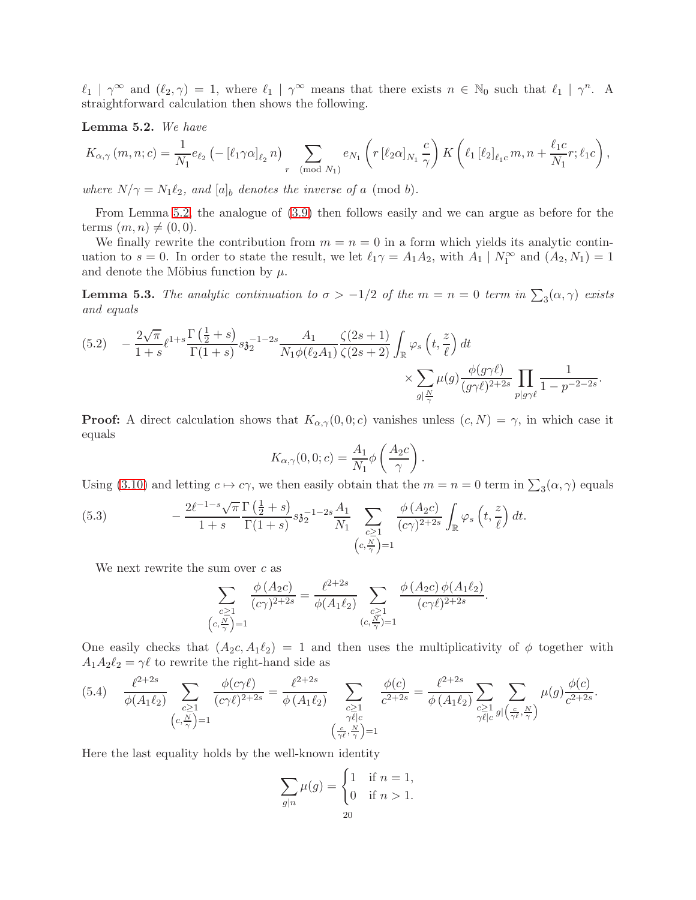$\ell_1 | \gamma^{\infty}$  and  $(\ell_2, \gamma) = 1$ , where  $\ell_1 | \gamma^{\infty}$  means that there exists  $n \in \mathbb{N}_0$  such that  $\ell_1 | \gamma^n$ . A straightforward calculation then shows the following.

<span id="page-19-0"></span>Lemma 5.2. We have

$$
K_{\alpha,\gamma}(m,n;c) = \frac{1}{N_1} e_{\ell_2} \left( -\left[ \ell_1 \gamma \alpha \right]_{\ell_2} n \right) \sum_{r \pmod{N_1}} e_{N_1} \left( r \left[ \ell_2 \alpha \right]_{N_1} \frac{c}{\gamma} \right) K \left( \ell_1 \left[ \ell_2 \right]_{\ell_1 c} m, n + \frac{\ell_1 c}{N_1} r; \ell_1 c \right),
$$

where  $N/\gamma = N_1 \ell_2$ , and  $[a]_b$  denotes the inverse of a (mod b).

From Lemma [5.2,](#page-19-0) the analogue of [\(3.9\)](#page-9-4) then follows easily and we can argue as before for the terms  $(m, n) \neq (0, 0)$ .

We finally rewrite the contribution from  $m = n = 0$  in a form which yields its analytic continuation to  $s = 0$ . In order to state the result, we let  $\ell_1 \gamma = A_1 A_2$ , with  $A_1 | N_1^{\infty}$  and  $(A_2, N_1) = 1$ and denote the Möbius function by  $\mu.$ 

<span id="page-19-4"></span>**Lemma 5.3.** The analytic continuation to  $\sigma > -1/2$  of the  $m = n = 0$  term in  $\sum_{3}(\alpha, \gamma)$  exists and equals

<span id="page-19-3"></span>
$$
(5.2) \quad -\frac{2\sqrt{\pi}}{1+s} \ell^{1+s} \frac{\Gamma(\frac{1}{2}+s)}{\Gamma(1+s)} s \mathfrak{z}_2^{-1-2s} \frac{A_1}{N_1 \phi(\ell_2 A_1)} \frac{\zeta(2s+1)}{\zeta(2s+2)} \int_{\mathbb{R}} \varphi_s \left( t, \frac{z}{\ell} \right) dt \times \sum_{g \mid \frac{N}{\gamma}} \mu(g) \frac{\phi(g\gamma \ell)}{(g\gamma \ell)^{2+2s}} \prod_{p \mid g\gamma \ell} \frac{1}{1-p^{-2-2s}}.
$$

**Proof:** A direct calculation shows that  $K_{\alpha,\gamma}(0,0;c)$  vanishes unless  $(c, N) = \gamma$ , in which case it equals

$$
K_{\alpha,\gamma}(0,0;c) = \frac{A_1}{N_1} \phi\left(\frac{A_2c}{\gamma}\right).
$$

Using [\(3.10\)](#page-10-1) and letting  $c \mapsto c\gamma$ , we then easily obtain that the  $m = n = 0$  term in  $\sum_{3} (\alpha, \gamma)$  equals

(5.3) 
$$
-\frac{2\ell^{-1-s}\sqrt{\pi}}{1+s}\frac{\Gamma(\frac{1}{2}+s)}{\Gamma(1+s)}s\mathfrak{z}_2^{-1-2s}\frac{A_1}{N_1}\sum_{\substack{c\geq 1\\(c,\frac{N}{\gamma})=1}}\frac{\phi(A_2c)}{(c\gamma)^{2+2s}}\int_{\mathbb{R}}\varphi_s\left(t,\frac{z}{\ell}\right)dt.
$$

We next rewrite the sum over  $c$  as

<span id="page-19-2"></span>
$$
\sum_{\substack{c\geq 1\\(c,\frac{N}{\gamma})=1}}\frac{\phi(A_2c)}{(c\gamma)^{2+2s}}=\frac{\ell^{2+2s}}{\phi(A_1\ell_2)}\sum_{\substack{c\geq 1\\(c,\frac{N}{\gamma})=1}}\frac{\phi(A_2c)\phi(A_1\ell_2)}{(c\gamma\ell)^{2+2s}}.
$$

One easily checks that  $(A_2c, A_1\ell_2) = 1$  and then uses the multiplicativity of  $\phi$  together with  $A_1A_2\ell_2 = \gamma \ell$  to rewrite the right-hand side as

<span id="page-19-1"></span>
$$
(5.4) \quad \frac{\ell^{2+2s}}{\phi(A_{1}\ell_{2})} \sum_{\substack{c \geq 1 \\ (c,\frac{N}{\gamma})=1}} \frac{\phi(c\gamma\ell)}{(c\gamma\ell)^{2+2s}} = \frac{\ell^{2+2s}}{\phi(A_{1}\ell_{2})} \sum_{\substack{c \geq 1 \\ \gamma \ell | c}} \frac{\phi(c)}{c^{2+2s}} = \frac{\ell^{2+2s}}{\phi(A_{1}\ell_{2})} \sum_{\substack{c \geq 1 \\ \gamma \ell | c}} \sum_{\substack{g \geq 1 \\ g \mid (\frac{c}{\gamma\ell}, \frac{N}{\gamma})}} \mu(g) \frac{\phi(c)}{c^{2+2s}}.
$$

Here the last equality holds by the well-known identity

$$
\sum_{g|n} \mu(g) = \begin{cases} 1 & \text{if } n = 1, \\ 0 & \text{if } n > 1. \end{cases}
$$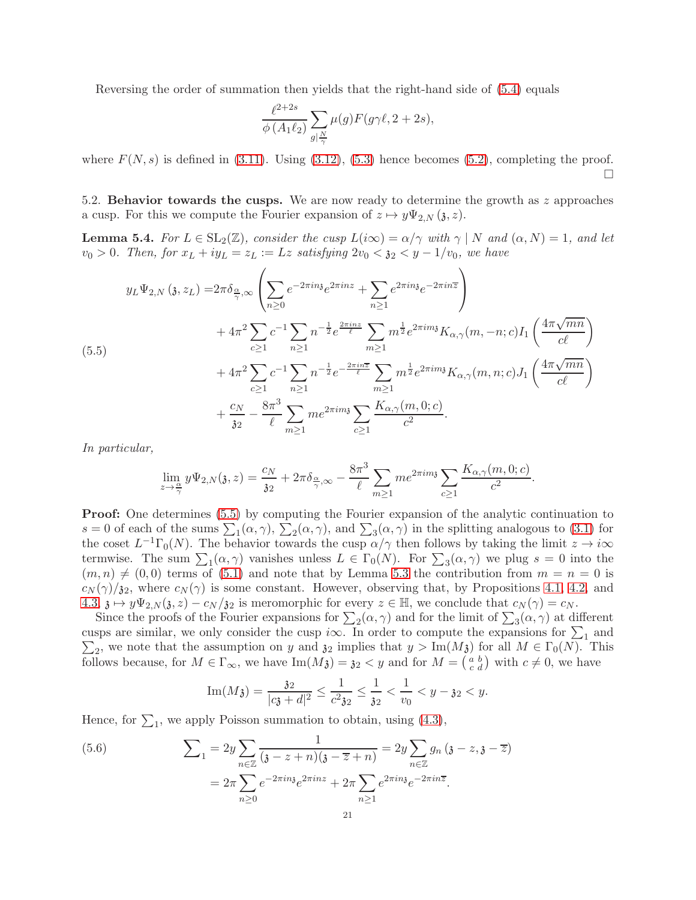Reversing the order of summation then yields that the right-hand side of [\(5.4\)](#page-19-1) equals

$$
\frac{\ell^{2+2s}}{\phi(A_1\ell_2)}\sum_{g|\frac{N}{\gamma}}\mu(g)F(g\gamma\ell,2+2s),
$$

where  $F(N, s)$  is defined in [\(3.11\)](#page-10-3). Using [\(3.12\)](#page-10-4), [\(5.3\)](#page-19-2) hence becomes [\(5.2\)](#page-19-3), completing the proof. П

5.2. Behavior towards the cusps. We are now ready to determine the growth as  $z$  approaches a cusp. For this we compute the Fourier expansion of  $z \mapsto y\Psi_{2,N}(\mathfrak{z}, z)$ .

<span id="page-20-0"></span>**Lemma 5.4.** For  $L \in SL_2(\mathbb{Z})$ , consider the cusp  $L(i\infty) = \alpha/\gamma$  with  $\gamma \mid N$  and  $(\alpha, N) = 1$ , and let  $v_0 > 0$ . Then, for  $x_L + iy_L = z_L := Lz$  satisfying  $2v_0 < y_2 < y - 1/v_0$ , we have

<span id="page-20-1"></span>
$$
y_L \Psi_{2,N} \left( \mathfrak{z}, z_L \right) = 2\pi \delta_{\frac{\alpha}{\gamma},\infty} \left( \sum_{n\geq 0} e^{-2\pi i n \mathfrak{z}} e^{2\pi i n z} + \sum_{n\geq 1} e^{2\pi i n \mathfrak{z}} e^{-2\pi i n \overline{z}} \right) + 4\pi^2 \sum_{c\geq 1} c^{-1} \sum_{n\geq 1} n^{-\frac{1}{2}} e^{\frac{2\pi i n z}{\ell}} \sum_{m\geq 1} m^{\frac{1}{2}} e^{2\pi i m \mathfrak{z}} K_{\alpha,\gamma}(m, -n; c) I_1 \left( \frac{4\pi \sqrt{mn}}{c \ell} \right) + 4\pi^2 \sum_{c\geq 1} c^{-1} \sum_{n\geq 1} n^{-\frac{1}{2}} e^{-\frac{2\pi i n \overline{z}}{\ell}} \sum_{m\geq 1} m^{\frac{1}{2}} e^{2\pi i m \mathfrak{z}} K_{\alpha,\gamma}(m, n; c) J_1 \left( \frac{4\pi \sqrt{mn}}{c \ell} \right) + \frac{c_N}{32} - \frac{8\pi^3}{\ell} \sum_{m\geq 1} m e^{2\pi i m \mathfrak{z}} \sum_{c\geq 1} \frac{K_{\alpha,\gamma}(m, 0; c)}{c^2}.
$$

In particular,

$$
\lim_{z \to \frac{\alpha}{\gamma}} y \Psi_{2,N}(\mathfrak{z}, z) = \frac{c_N}{\mathfrak{z}_2} + 2\pi \delta_{\frac{\alpha}{\gamma}, \infty} - \frac{8\pi^3}{\ell} \sum_{m \ge 1} m e^{2\pi i m \mathfrak{z}} \sum_{c \ge 1} \frac{K_{\alpha, \gamma}(m, 0; c)}{c^2}.
$$

**Proof:** One determines [\(5.5\)](#page-20-1) by computing the Fourier expansion of the analytic continuation to  $s = 0$  of each of the sums  $\sum_{1} (\alpha, \gamma)$ ,  $\sum_{2} (\alpha, \gamma)$ , and  $\sum_{3} (\alpha, \gamma)$  in the splitting analogous to [\(3.1\)](#page-8-2) for the coset  $L^{-1}\Gamma_0(N)$ . The behavior towards the cusp  $\alpha/\gamma$  then follows by taking the limit  $z \to i\infty$ termwise. The sum  $\sum_{1} (\alpha, \gamma)$  vanishes unless  $L \in \Gamma_0(N)$ . For  $\sum_{3} (\alpha, \gamma)$  we plug  $s = 0$  into the  $(m, n) \neq (0, 0)$  terms of [\(5.1\)](#page-18-0) and note that by Lemma [5.3](#page-19-4) the contribution from  $m = n = 0$  is  $c_N(\gamma)/\mathfrak{z}_2$ , where  $c_N(\gamma)$  is some constant. However, observing that, by Propositions [4.1,](#page-14-2) [4.2,](#page-15-1) and [4.3,](#page-16-2)  $\mathfrak{z} \mapsto y\Psi_{2,N}(\mathfrak{z}, z) - c_N/\mathfrak{z}_2$  is meromorphic for every  $z \in \mathbb{H}$ , we conclude that  $c_N(\gamma) = c_N$ .

Since the proofs of the Fourier expansions for  $\sum_2(\alpha, \gamma)$  and for the limit of  $\sum_3(\alpha, \gamma)$  at different cusps are similar, we only consider the cusp i $\infty$ . In order to compute the expansions for  $\sum_{i=1}^{\infty}$  and  $\sum_2$ , we note that the assumption on y and  $\mathfrak{z}_2$  implies that  $y > \text{Im}(M_3)$  for all  $M \in \Gamma_0(N)$ . This follows because, for  $M \in \Gamma_{\infty}$ , we have  $\text{Im}(M_{\mathbf{\hat{3}}}) = \mathbf{3}_2 < y$  and for  $M = \begin{pmatrix} a & b \\ c & d \end{pmatrix}$  with  $c \neq 0$ , we have

Im(M3) = 
$$
\frac{32}{|c3 + d|^2} \le \frac{1}{c^2 32} \le \frac{1}{32} < \frac{1}{v_0} < y - 32 < y
$$
.

Hence, for  $\Sigma_1$ , we apply Poisson summation to obtain, using [\(4.3\)](#page-14-4),

<span id="page-20-2"></span>(5.6) 
$$
\sum_{1} = 2y \sum_{n \in \mathbb{Z}} \frac{1}{(3 - z + n)(3 - \overline{z} + n)} = 2y \sum_{n \in \mathbb{Z}} g_n (3 - z, 3 - \overline{z})
$$

$$
= 2\pi \sum_{n \ge 0} e^{-2\pi i n} e^{2\pi i n z} + 2\pi \sum_{n \ge 1} e^{2\pi i n} e^{-2\pi i n \overline{z}}.
$$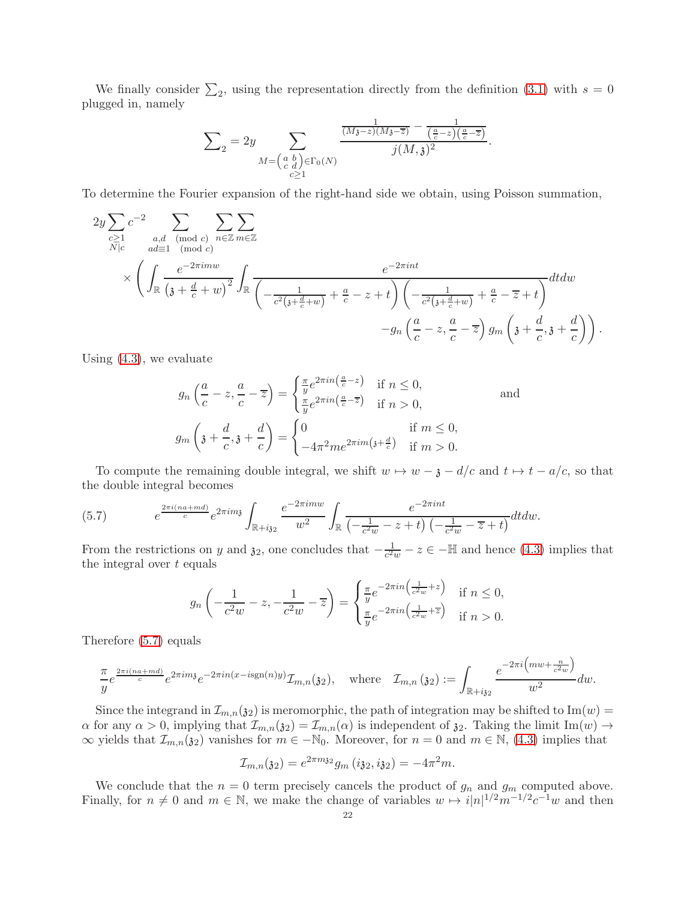We finally consider  $\sum_2$ , using the representation directly from the definition [\(3.1\)](#page-8-2) with  $s = 0$ plugged in, namely

$$
\sum_{2} = 2y \sum_{\substack{M = \begin{pmatrix} a & b \\ c & d \end{pmatrix} \in \Gamma_0(N)}} \frac{\frac{1}{(M_3 - z)(M_3 - \overline{z})} - \frac{1}{\left(\frac{a}{c} - z\right)\left(\frac{a}{c} - \overline{z}\right)}}{j(M, \mathfrak{z})^2}
$$

.

To determine the Fourier expansion of the right-hand side we obtain, using Poisson summation,

$$
2y \sum_{\substack{c \geq 1 \\ N \mid c}} c^{-2} \sum_{\substack{a,d \pmod{c} \\ ad \equiv 1 \pmod{c}}} \sum_{n \in \mathbb{Z}} \sum_{m \in \mathbb{Z}} \sum_{m \in \mathbb{Z}} \frac{1}{\left(\text{mod } c\right)} \sum_{n \in \mathbb{Z}} \sum_{m \in \mathbb{Z}} \frac{1}{\left(\frac{e^{-2\pi i m w}}{1 - \frac{1}{c^2(3 + \frac{d}{c} + w)} + \frac{a}{c} - z + t\right) \left(-\frac{1}{c^2(3 + \frac{d}{c} + w)} + \frac{a}{c} - \overline{z} + t\right)}} dt dw
$$
  

$$
-g_n \left(\frac{a}{c} - z, \frac{a}{c} - \overline{z}\right) g_m \left(\mathfrak{z} + \frac{d}{c}, \mathfrak{z} + \frac{d}{c}\right).
$$

Using [\(4.3\)](#page-14-4), we evaluate

$$
g_n\left(\frac{a}{c} - z, \frac{a}{c} - \overline{z}\right) = \begin{cases} \frac{\pi}{y} e^{2\pi i n\left(\frac{a}{c} - z\right)} & \text{if } n \le 0, \\ \frac{\pi}{y} e^{2\pi i n\left(\frac{a}{c} - \overline{z}\right)} & \text{if } n > 0, \end{cases}
$$
and
$$
g_m\left(\mathfrak{z} + \frac{d}{c}, \mathfrak{z} + \frac{d}{c}\right) = \begin{cases} 0 & \text{if } m \le 0, \\ -4\pi^2 m e^{2\pi i m\left(\mathfrak{z} + \frac{d}{c}\right)} & \text{if } m > 0. \end{cases}
$$

To compute the remaining double integral, we shift  $w \mapsto w - \mathfrak{z} - d/c$  and  $t \mapsto t - a/c$ , so that the double integral becomes

<span id="page-21-0"></span>(5.7) 
$$
e^{\frac{2\pi i(na+md)}{c}}e^{2\pi im} \int_{\mathbb{R}+i_{32}} \frac{e^{-2\pi imw}}{w^{2}} \int_{\mathbb{R}} \frac{e^{-2\pi int}}{\left(-\frac{1}{c^{2}w} - z + t\right)\left(-\frac{1}{c^{2}w} - \overline{z} + t\right)} dt dw.
$$

From the restrictions on y and  $\mathfrak{z}_2$ , one concludes that  $-\frac{1}{c^2w}-z\in-\mathbb{H}$  and hence [\(4.3\)](#page-14-4) implies that the integral over  $t$  equals

$$
g_n\left(-\frac{1}{c^2w} - z, -\frac{1}{c^2w} - \overline{z}\right) = \begin{cases} \frac{\pi}{y}e^{-2\pi in\left(\frac{1}{c^2w} + z\right)} & \text{if } n \le 0, \\ \frac{\pi}{y}e^{-2\pi in\left(\frac{1}{c^2w} + \overline{z}\right)} & \text{if } n > 0. \end{cases}
$$

Therefore [\(5.7\)](#page-21-0) equals

$$
\frac{\pi}{y}e^{\frac{2\pi i(na+md)}{c}}e^{2\pi im\mathfrak{z}}e^{-2\pi in(x-\text{isgn}(n)y)}\mathcal{I}_{m,n}(\mathfrak{z}_2), \quad \text{where} \quad \mathcal{I}_{m,n}(\mathfrak{z}_2):=\int_{\mathbb{R}+i\mathfrak{z}_2}\frac{e^{-2\pi i\left(mw+\frac{n}{c^2w}\right)}}{w^2}dw.
$$

Since the integrand in  $\mathcal{I}_{m,n}(\mathfrak{z}_2)$  is meromorphic, the path of integration may be shifted to Im(w) =  $\alpha$  for any  $\alpha > 0$ , implying that  $\mathcal{I}_{m,n}(\mathfrak{z}_2) = \mathcal{I}_{m,n}(\alpha)$  is independent of  $\mathfrak{z}_2$ . Taking the limit Im(w)  $\rightarrow$  $\infty$  yields that  $\mathcal{I}_{m,n}(\mathfrak{z}_2)$  vanishes for  $m \in \mathbb{N}_0$ . Moreover, for  $n = 0$  and  $m \in \mathbb{N}$ , [\(4.3\)](#page-14-4) implies that

$$
\mathcal{I}_{m,n}(\mathfrak{z}_2) = e^{2\pi m \mathfrak{z}_2} g_m(i \mathfrak{z}_2, i \mathfrak{z}_2) = -4\pi^2 m.
$$

We conclude that the  $n = 0$  term precisely cancels the product of  $g_n$  and  $g_m$  computed above. Finally, for  $n \neq 0$  and  $m \in \mathbb{N}$ , we make the change of variables  $w \mapsto i|n|^{1/2}m^{-1/2}c^{-1}w$  and then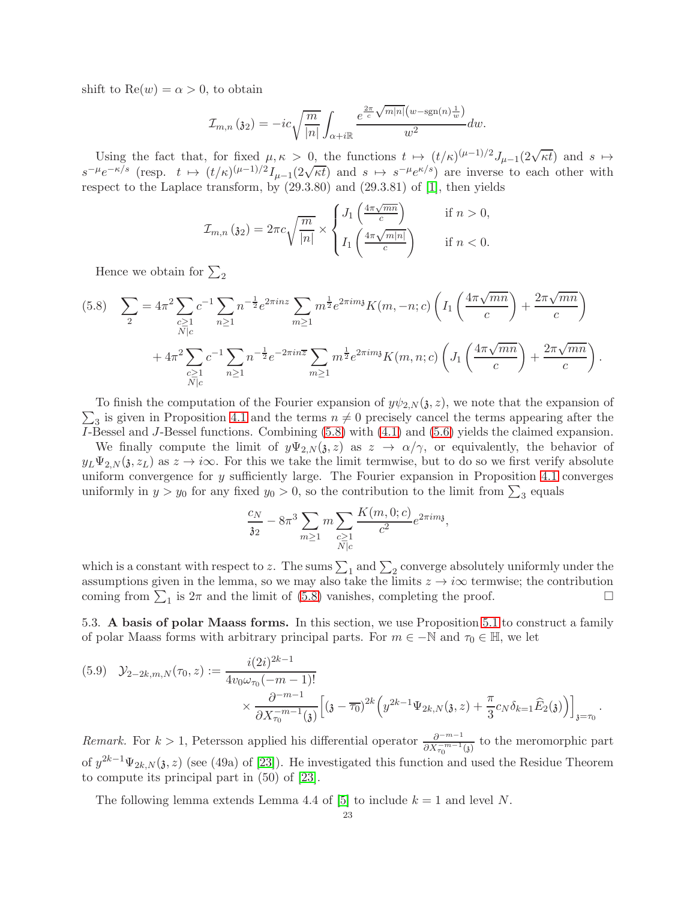shift to  $\text{Re}(w) = \alpha > 0$ , to obtain

$$
\mathcal{I}_{m,n}(\mathfrak{z}_2) = -ic\sqrt{\frac{m}{|n|}} \int_{\alpha+i\mathbb{R}} \frac{e^{\frac{2\pi}{c}\sqrt{m|n|}(w-\text{sgn}(n)\frac{1}{w})}}{w^2}dw.
$$

Using the fact that, for fixed  $\mu, \kappa > 0$ , the functions  $t \mapsto (t/\kappa)^{(\mu-1)/2} J_{\mu-1}(2\sqrt{\kappa t})$  and  $s \mapsto$  $s^{-\mu}e^{-\kappa/s}$  (resp.  $t \mapsto (t/\kappa)^{(\mu-1)/2}I_{\mu-1}(2\sqrt{\kappa t})$  and  $s \mapsto s^{-\mu}e^{\kappa/s}$ ) are inverse to each other with respect to the Laplace transform, by (29.3.80) and (29.3.81) of [\[1\]](#page-27-26), then yields

$$
\mathcal{I}_{m,n}(\mathfrak{z}_2) = 2\pi c \sqrt{\frac{m}{|n|}} \times \begin{cases} J_1\left(\frac{4\pi\sqrt{mn}}{c}\right) & \text{if } n > 0, \\ I_1\left(\frac{4\pi\sqrt{m|n|}}{c}\right) & \text{if } n < 0. \end{cases}
$$

Hence we obtain for  $\Sigma_2$ 

<span id="page-22-1"></span>
$$
(5.8) \quad \sum_{2} = 4\pi^{2} \sum_{\substack{c \geq 1 \\ N|c}} c^{-1} \sum_{n \geq 1} n^{-\frac{1}{2}} e^{2\pi i n z} \sum_{m \geq 1} m^{\frac{1}{2}} e^{2\pi i m y} K(m, -n; c) \left( I_{1} \left( \frac{4\pi \sqrt{mn}}{c} \right) + \frac{2\pi \sqrt{mn}}{c} \right) + 4\pi^{2} \sum_{\substack{c \geq 1 \\ N|c}} c^{-1} \sum_{n \geq 1} n^{-\frac{1}{2}} e^{-2\pi i n \overline{z}} \sum_{m \geq 1} m^{\frac{1}{2}} e^{2\pi i m y} K(m, n; c) \left( J_{1} \left( \frac{4\pi \sqrt{mn}}{c} \right) + \frac{2\pi \sqrt{mn}}{c} \right).
$$

 $\sum_3$  is given in Proposition [4.1](#page-14-2) and the terms  $n \neq 0$  precisely cancel the terms appearing after the To finish the computation of the Fourier expansion of  $y\psi_{2,N}(\mathfrak{z}, z)$ , we note that the expansion of I-Bessel and J-Bessel functions. Combining [\(5.8\)](#page-22-1) with [\(4.1\)](#page-14-1) and [\(5.6\)](#page-20-2) yields the claimed expansion.

We finally compute the limit of  $y\Psi_{2,N}(z, z)$  as  $z \to \alpha/\gamma$ , or equivalently, the behavior of  $y_L \Psi_{2,N}(\mathfrak{z}, z_L)$  as  $z \to i\infty$ . For this we take the limit termwise, but to do so we first verify absolute uniform convergence for y sufficiently large. The Fourier expansion in Proposition [4.1](#page-14-2) converges uniformly in  $y > y_0$  for any fixed  $y_0 > 0$ , so the contribution to the limit from  $\sum_3$  equals

$$
\frac{c_N}{32} - 8\pi^3 \sum_{m \ge 1} m \sum_{\substack{c \ge 1 \\ N \mid c}} \frac{K(m, 0; c)}{c^2} e^{2\pi i m_3},
$$

which is a constant with respect to z. The sums  $\sum_1$  and  $\sum_2$  converge absolutely uniformly under the assumptions given in the lemma, so we may also take the limits  $z \to i\infty$  termwise; the contribution coming from  $\sum_i$  is  $2\pi$  and the limit of (5.8) vanishes, completing the proof. coming from  $\sum_1$  is  $2\pi$  and the limit of [\(5.8\)](#page-22-1) vanishes, completing the proof.

5.3. A basis of polar Maass forms. In this section, we use Proposition [5.1](#page-17-4) to construct a family of polar Maass forms with arbitrary principal parts. For  $m \in -\mathbb{N}$  and  $\tau_0 \in \mathbb{H}$ , we let

<span id="page-22-0"></span>
$$
(5.9) \quad \mathcal{Y}_{2-2k,m,N}(\tau_0, z) := \frac{i(2i)^{2k-1}}{4v_0\omega_{\tau_0}(-m-1)!} \times \frac{\partial^{-m-1}}{\partial X_{\tau_0}^{-m-1}(3)} \Big[ (3-\overline{\tau_0})^{2k} \Big( y^{2k-1} \Psi_{2k,N}(3, z) + \frac{\pi}{3} c_N \delta_{k=1} \widehat{E}_2(3) \Big) \Big]_{3=\tau_0}.
$$

Remark. For  $k > 1$ , Petersson applied his differential operator  $\frac{\partial^{-m-1}}{\partial X_{\tau_0}^{-m-1}(3)}$  to the meromorphic part of  $y^{2k-1}\Psi_{2k,N}(\mathfrak{z},z)$  (see (49a) of [\[23\]](#page-27-1)). He investigated this function and used the Residue Theorem to compute its principal part in (50) of [\[23\]](#page-27-1).

The following lemma extends Lemma 4.4 of [\[5\]](#page-27-13) to include  $k = 1$  and level N.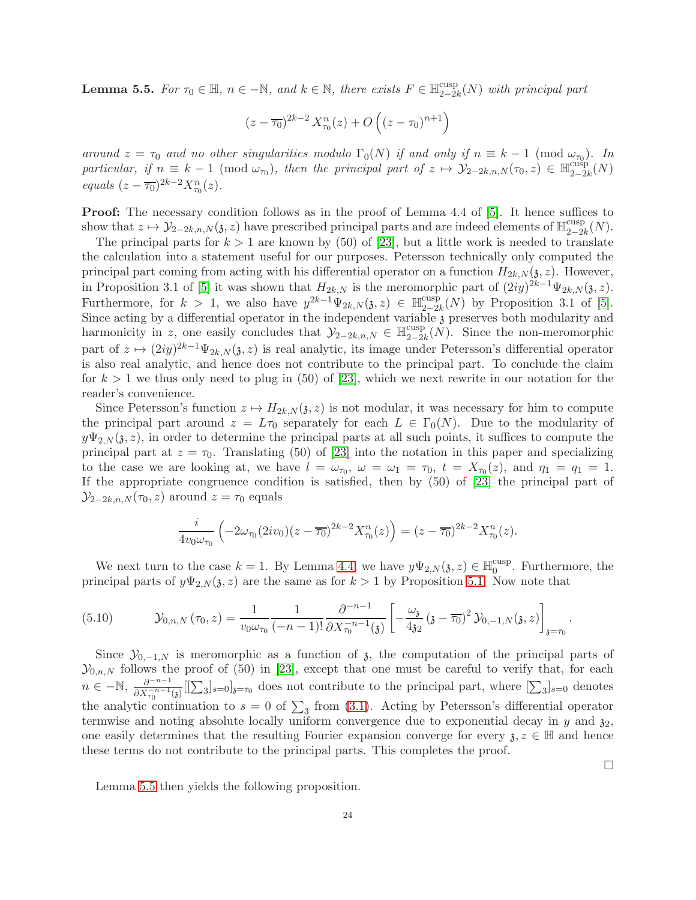<span id="page-23-0"></span>**Lemma 5.5.** For  $\tau_0 \in \mathbb{H}$ ,  $n \in -\mathbb{N}$ , and  $k \in \mathbb{N}$ , there exists  $F \in \mathbb{H}_{2-2i}^{\text{cusp}}$  $\frac{\text{cusp}}{2-2k}(N)$  with principal part

$$
(z - \overline{\tau_0})^{2k-2} X_{\tau_0}^n(z) + O\left((z - \tau_0)^{n+1}\right)
$$

around  $z = \tau_0$  and no other singularities modulo  $\Gamma_0(N)$  if and only if  $n \equiv k - 1 \pmod{\omega_{\tau_0}}$ . In particular, if  $n \equiv k - 1 \pmod{\omega_{\tau_0}}$ , then the principal part of  $z \mapsto \mathcal{Y}_{2-2k,n,N} (\tau_0, z) \in \mathbb{H}_{2-2k,n}^{\text{cusp}}$  $\frac{\text{cusp}}{2-2k}(N)$ equals  $(z - \overline{\tau_0})^{2k-2} X_{\tau_0}^n(z)$ .

Proof: The necessary condition follows as in the proof of Lemma 4.4 of [\[5\]](#page-27-13). It hence suffices to show that  $z \mapsto \mathcal{Y}_{2-2k,n,N}(\mathfrak{z}, z)$  have prescribed principal parts and are indeed elements of  $\mathbb{H}_{2-2k}^{\text{cusp}}$  $\frac{\text{cusp}}{2-2k}(N).$ 

The principal parts for  $k > 1$  are known by (50) of [\[23\]](#page-27-1), but a little work is needed to translate the calculation into a statement useful for our purposes. Petersson technically only computed the principal part coming from acting with his differential operator on a function  $H_{2k,N}(\mathfrak{z}, z)$ . However, in Proposition 3.1 of [\[5\]](#page-27-13) it was shown that  $H_{2k,N}$  is the meromorphic part of  $(2iy)^{2k-1}\Psi_{2k,N}(\mathfrak{z},z)$ . Furthermore, for  $k > 1$ , we also have  $y^{2k-1} \Psi_{2k,N}(\mathfrak{z},z) \in \mathbb{H}_{2-2k-1}^{\text{cusp}}$  $\frac{2-2k}{2-2k}(N)$  by Proposition 3.1 of [\[5\]](#page-27-13). Since acting by a differential operator in the independent variable  $\hat{j}$  preserves both modularity and harmonicity in z, one easily concludes that  $\mathcal{Y}_{2-2k,n,N} \in \mathbb{H}_{2-2k}^{\text{cusp}}$  $\frac{\text{cusp}}{2-2k}(N)$ . Since the non-meromorphic part of  $z \mapsto (2iy)^{2k-1}\Psi_{2k,N}(\mathfrak{z}, z)$  is real analytic, its image under Petersson's differential operator is also real analytic, and hence does not contribute to the principal part. To conclude the claim for  $k > 1$  we thus only need to plug in (50) of [\[23\]](#page-27-1), which we next rewrite in our notation for the reader's convenience.

Since Petersson's function  $z \mapsto H_{2k,N}(\mathfrak{z}, z)$  is not modular, it was necessary for him to compute the principal part around  $z = L\tau_0$  separately for each  $L \in \Gamma_0(N)$ . Due to the modularity of  $y\Psi_{2,N}(\mathfrak{z}, z)$ , in order to determine the principal parts at all such points, it suffices to compute the principal part at  $z = \tau_0$ . Translating (50) of [\[23\]](#page-27-1) into the notation in this paper and specializing to the case we are looking at, we have  $l = \omega_{\tau_0}$ ,  $\omega = \omega_1 = \tau_0$ ,  $t = X_{\tau_0}(z)$ , and  $\eta_1 = \eta_1 = 1$ . If the appropriate congruence condition is satisfied, then by (50) of [\[23\]](#page-27-1) the principal part of  $\mathcal{Y}_{2-2k,n,N}(\tau_0,z)$  around  $z=\tau_0$  equals

$$
\frac{i}{4v_0\omega_{\tau_0}}\left(-2\omega_{\tau_0}(2iv_0)(z-\overline{\tau_0})^{2k-2}X_{\tau_0}^n(z)\right)=(z-\overline{\tau_0})^{2k-2}X_{\tau_0}^n(z).
$$

We next turn to the case  $k = 1$ . By Lemma [4.4,](#page-17-1) we have  $y\Psi_{2,N}(\mathfrak{z}, z) \in \mathbb{H}_0^{\text{cusp}}$  $_{0}^{\text{cusp}}$ . Furthermore, the principal parts of  $y\Psi_{2,N}(\mathfrak{z}, z)$  are the same as for  $k > 1$  by Proposition [5.1.](#page-17-4) Now note that

<span id="page-23-1"></span>
$$
(5.10) \t\t\t\t\mathcal{Y}_{0,n,N}(\tau_0,z) = \frac{1}{v_0 \omega_{\tau_0}} \frac{1}{(-n-1)!} \frac{\partial^{-n-1}}{\partial X_{\tau_0}^{-n-1}(3)} \left[ -\frac{\omega_3}{4i} \left(3 - \overline{\tau_0}\right)^2 \mathcal{Y}_{0,-1,N}(3,z) \right]_{3=\tau_0}.
$$

Since  $\mathcal{Y}_{0,-1,N}$  is meromorphic as a function of  $\mathfrak{z}$ , the computation of the principal parts of  $\mathcal{Y}_{0,n,N}$  follows the proof of (50) in [\[23\]](#page-27-1), except that one must be careful to verify that, for each  $n \in -\mathbb{N}, \frac{\partial^{-n-1}}{\partial X_{\tau_n}^{-n-1}}$  $\frac{\partial^{-n-1}}{\partial X_{\tau_0}^{-n-1}(3)}[[\sum_3]_{s=0}]_{3=\tau_0}$  does not contribute to the principal part, where  $[\sum_3]_{s=0}$  denotes the analytic continuation to  $s = 0$  of  $\sum_3$  from [\(3.1\)](#page-8-2). Acting by Petersson's differential operator termwise and noting absolute locally uniform convergence due to exponential decay in  $y$  and  $\mathfrak{z}_2$ , one easily determines that the resulting Fourier expansion converge for every  $\lambda, z \in \mathbb{H}$  and hence these terms do not contribute to the principal parts. This completes the proof.

Lemma [5.5](#page-23-0) then yields the following proposition.

 $\Box$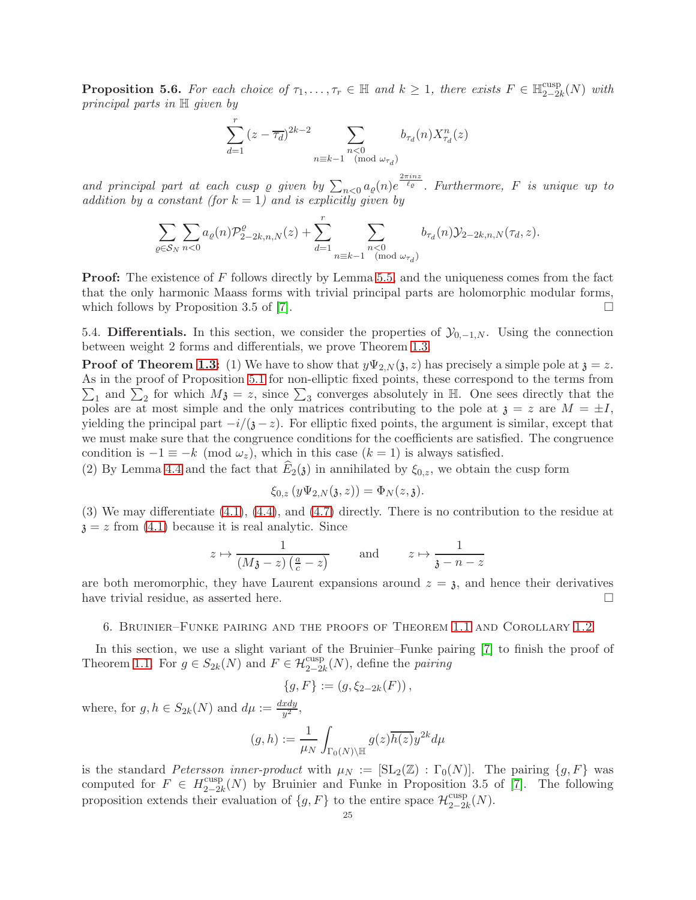<span id="page-24-1"></span>**Proposition 5.6.** For each choice of  $\tau_1, \ldots, \tau_r \in \mathbb{H}$  and  $k \geq 1$ , there exists  $F \in \mathbb{H}_{2-2i}^{\text{cusp}}$  $\frac{\text{cusp}}{2-2k}(N)$  with principal parts in H given by

$$
\sum_{d=1}^{r} (z - \overline{\tau_d})^{2k-2} \sum_{\substack{n < 0 \\ n \equiv k-1 \pmod{\omega_{\tau_d}}} b_{\tau_d}(n) X_{\tau_d}^n(z)}
$$

and principal part at each cusp  $\varrho$  given by  $\sum_{n<0} a_{\varrho}(n) e^{\frac{2\pi i n z}{\ell_{\varrho}}}$ . Furthermore, F is unique up to addition by a constant (for  $k = 1$ ) and is explicitly given by

$$
\sum_{\varrho \in \mathcal{S}_N} \sum_{n < 0} a_{\varrho}(n) \mathcal{P}_{2-2k,n,N}^{\varrho}(z) + \sum_{d=1}^r \sum_{\substack{n < 0 \\ n \equiv k-1 \pmod{\omega_{\tau_d}}} b_{\tau_d}(n) \mathcal{Y}_{2-2k,n,N}(\tau_d, z).
$$

**Proof:** The existence of F follows directly by Lemma [5.5,](#page-23-0) and the uniqueness comes from the fact that the only harmonic Maass forms with trivial principal parts are holomorphic modular forms, which follows by Proposition 3.5 of [\[7\]](#page-27-2).

5.4. Differentials. In this section, we consider the properties of  $\mathcal{Y}_{0,-1,N}$ . Using the connection between weight 2 forms and differentials, we prove Theorem [1.3.](#page-3-0)

**Proof of Theorem [1.3:](#page-3-0)** (1) We have to show that  $y\Psi_{2,N}(\mathfrak{z}, z)$  has precisely a simple pole at  $\mathfrak{z} = z$ . As in the proof of Proposition [5.1](#page-17-4) for non-elliptic fixed points, these correspond to the terms from  $\sum_1$  and  $\sum_2$  for which  $M_3 = z$ , since  $\sum_3$  converges absolutely in H. One sees directly that the poles are at most simple and the only matrices contributing to the pole at  $\mathfrak{z} = z$  are  $M = \pm I$ , yielding the principal part  $-i/(3-z)$ . For elliptic fixed points, the argument is similar, except that we must make sure that the congruence conditions for the coefficients are satisfied. The congruence condition is  $-1 \equiv -k \pmod{\omega_z}$ , which in this case  $(k = 1)$  is always satisfied.

(2) By Lemma [4.4](#page-17-1) and the fact that  $\widehat{E}_2(\mathfrak{z})$  in annihilated by  $\xi_{0,z}$ , we obtain the cusp form

$$
\xi_{0,z}(y\Psi_{2,N}(\mathfrak{z},z)) = \Phi_N(z,\mathfrak{z}).
$$

(3) We may differentiate [\(4.1\)](#page-14-1), [\(4.4\)](#page-15-2), and [\(4.7\)](#page-16-1) directly. There is no contribution to the residue at  $z = z$  from [\(4.1\)](#page-14-1) because it is real analytic. Since

$$
z \mapsto \frac{1}{(M_{\mathfrak{F}} - z) \left(\frac{a}{c} - z\right)}
$$
 and  $z \mapsto \frac{1}{\mathfrak{F} - n - z}$ 

are both meromorphic, they have Laurent expansions around  $z = \mathfrak{z}$ , and hence their derivatives have trivial residue, as asserted here.

#### <span id="page-24-0"></span>6. Bruinier–Funke pairing and the proofs of Theorem [1.1](#page-1-0) and Corollary [1.2](#page-2-1)

In this section, we use a slight variant of the Bruinier–Funke pairing [\[7\]](#page-27-2) to finish the proof of Theorem [1.1.](#page-1-0) For  $g \in S_{2k}(N)$  and  $F \in \mathcal{H}^{\text{cusp}}_{2-2k}(N)$ , define the pairing

$$
\{g, F\} := (g, \xi_{2-2k}(F)),
$$

where, for  $g, h \in S_{2k}(N)$  and  $d\mu := \frac{dxdy}{y^2}$  $rac{xay}{y^2},$ 

$$
(g,h) := \frac{1}{\mu_N} \int_{\Gamma_0(N) \backslash \mathbb{H}} g(z) \overline{h(z)} y^{2k} d\mu
$$

is the standard Petersson inner-product with  $\mu_N := [\text{SL}_2(\mathbb{Z}) : \Gamma_0(N)]$ . The pairing  $\{g, F\}$  was computed for  $F \in H_{2-2l}^{\text{cusp}}$  $\frac{2-2k}{2-2k}(N)$  by Bruinier and Funke in Proposition 3.5 of [\[7\]](#page-27-2). The following proposition extends their evaluation of  $\{g, F\}$  to the entire space  $\mathcal{H}_{2-2i}^{\text{cusp}}$  $\frac{\text{cusp}}{2-2k}(N).$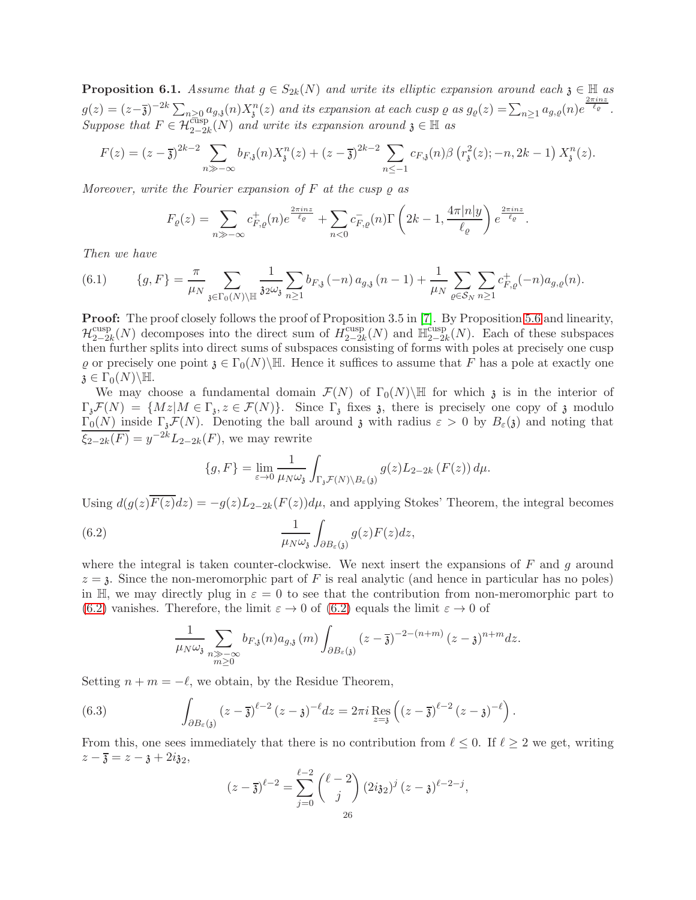<span id="page-25-2"></span>**Proposition 6.1.** Assume that  $g \in S_{2k}(N)$  and write its elliptic expansion around each  $\mathfrak{z} \in \mathbb{H}$  as  $g(z) = (z-\overline{z})^{-2k} \sum_{n\geq 0} a_{g,\overline{z}}(n) X_{\overline{z}}^n(z)$  and its expansion at each cusp  $\varrho$  as  $g_{\varrho}(z) = \sum_{n\geq 1} a_{g,\varrho}(n) e^{\frac{2\pi i nz}{\ell_{\varrho}}}$ . Suppose that  $F \in \mathcal{H}_{2-2k}^{\text{cusp}}(N)$  and write its expansion around  $\mathfrak{z} \in \mathbb{H}$  as

$$
F(z) = (z - \overline{\mathfrak{z}})^{2k-2} \sum_{n \gg -\infty} b_{F,\mathfrak{z}}(n) X_{\mathfrak{z}}^n(z) + (z - \overline{\mathfrak{z}})^{2k-2} \sum_{n \leq -1} c_{F,\mathfrak{z}}(n) \beta \left( r_{\mathfrak{z}}^2(z); -n, 2k-1 \right) X_{\mathfrak{z}}^n(z).
$$

Moreover, write the Fourier expansion of  $F$  at the cusp  $\rho$  as

$$
F_{\varrho}(z) = \sum_{n \gg -\infty} c_{F,\varrho}^+(n) e^{\frac{2\pi i nz}{\ell_{\varrho}}} + \sum_{n < 0} c_{F,\varrho}^-(n) \Gamma\left(2k - 1, \frac{4\pi |n|y}{\ell_{\varrho}}\right) e^{\frac{2\pi i nz}{\ell_{\varrho}}}.
$$

Then we have

<span id="page-25-3"></span>
$$
(6.1) \qquad \{g, F\} = \frac{\pi}{\mu_N} \sum_{\mathfrak{z} \in \Gamma_0(N) \backslash \mathbb{H}} \frac{1}{\mathfrak{z} \mathfrak{z} \omega_{\mathfrak{z}}} \sum_{n \ge 1} b_{F, \mathfrak{z}}(-n) \, a_{g, \mathfrak{z}}(n-1) + \frac{1}{\mu_N} \sum_{\varrho \in \mathcal{S}_N} \sum_{n \ge 1} c_{F, \varrho}^+(-n) a_{g, \varrho}(n).
$$

**Proof:** The proof closely follows the proof of Proposition 3.5 in [\[7\]](#page-27-2). By Proposition [5.6](#page-24-1) and linearity,  $\mathcal{H}_{2-2i}^{\textrm{cusp}}$  $\frac{1}{2-2k}(N)$  decomposes into the direct sum of  $\hat{H}_{2-2k}^{\text{cusp}}$  $\lim_{2-2k} (N)$  and  $\lim_{2-2k}$  $_{2-2k}^{\text{cusp}}(N)$ . Each of these subspaces then further splits into direct sums of subspaces consisting of forms with poles at precisely one cusp  $\rho$  or precisely one point  $\mathfrak{z} \in \Gamma_0(N) \backslash \mathbb{H}$ . Hence it suffices to assume that F has a pole at exactly one  $\mathfrak{z} \in \Gamma_0(N) \backslash \mathbb{H}.$ 

We may choose a fundamental domain  $\mathcal{F}(N)$  of  $\Gamma_0(N)\backslash\mathbb{H}$  for which z is in the interior of  $\Gamma_{\mathfrak{z}}\mathcal{F}(N) = \{Mz \mid M \in \Gamma_{\mathfrak{z}}, z \in \mathcal{F}(N)\}.$  Since  $\Gamma_{\mathfrak{z}}$  fixes  $\mathfrak{z}$ , there is precisely one copy of  $\mathfrak{z}$  modulo  $\Gamma_0(N)$  inside  $\Gamma_{\mathfrak{z}}\mathcal{F}(N)$ . Denoting the ball around z with radius  $\varepsilon > 0$  by  $B_{\varepsilon}(\mathfrak{z})$  and noting that  $\xi_{2-2k}(F) = y^{-2k} L_{2-2k}(F)$ , we may rewrite

<span id="page-25-0"></span>
$$
\{g, F\} = \lim_{\varepsilon \to 0} \frac{1}{\mu_N \omega_{\mathfrak{z}}} \int_{\Gamma_{\mathfrak{z}} \mathcal{F}(N) \backslash B_{\varepsilon}(\mathfrak{z})} g(z) L_{2-2k} \left( F(z) \right) d\mu.
$$

Using  $d(g(z)\overline{F(z)}dz) = -g(z)L_{2-2k}(F(z))d\mu$ , and applying Stokes' Theorem, the integral becomes

(6.2) 
$$
\frac{1}{\mu_N \omega_{\mathfrak{z}}} \int_{\partial B_{\varepsilon}(\mathfrak{z})} g(z) F(z) dz,
$$

where the integral is taken counter-clockwise. We next insert the expansions of  $F$  and  $g$  around  $z = 3$ . Since the non-meromorphic part of F is real analytic (and hence in particular has no poles) in H, we may directly plug in  $\varepsilon = 0$  to see that the contribution from non-meromorphic part to [\(6.2\)](#page-25-0) vanishes. Therefore, the limit  $\varepsilon \to 0$  of [\(6.2\)](#page-25-0) equals the limit  $\varepsilon \to 0$  of

<span id="page-25-1"></span>
$$
\frac{1}{\mu_N \omega_{\mathfrak{z}}} \sum_{\substack{n \gg -\infty \\ m \ge 0}} b_{F,\mathfrak{z}}(n) a_{g,\mathfrak{z}}(m) \int_{\partial B_{\varepsilon}(\mathfrak{z})} (z - \overline{\mathfrak{z}})^{-2 - (n+m)} (z - \mathfrak{z})^{n+m} dz.
$$

Setting  $n + m = -\ell$ , we obtain, by the Residue Theorem,

(6.3) 
$$
\int_{\partial B_{\varepsilon}(\mathfrak{z})} (z - \overline{\mathfrak{z}})^{\ell - 2} (z - \mathfrak{z})^{-\ell} dz = 2\pi i \operatorname{Res}_{z = \mathfrak{z}} \left( (z - \overline{\mathfrak{z}})^{\ell - 2} (z - \mathfrak{z})^{-\ell} \right).
$$

From this, one sees immediately that there is no contribution from  $\ell \leq 0$ . If  $\ell \geq 2$  we get, writing  $z-\overline{3}=z-\overline{3}+2i\overline{3}2,$ 

$$
(z-\overline{3})^{\ell-2} = \sum_{j=0}^{\ell-2} {\ell-2 \choose j} (2i32)^j (z-\overline{3})^{\ell-2-j},
$$
  
26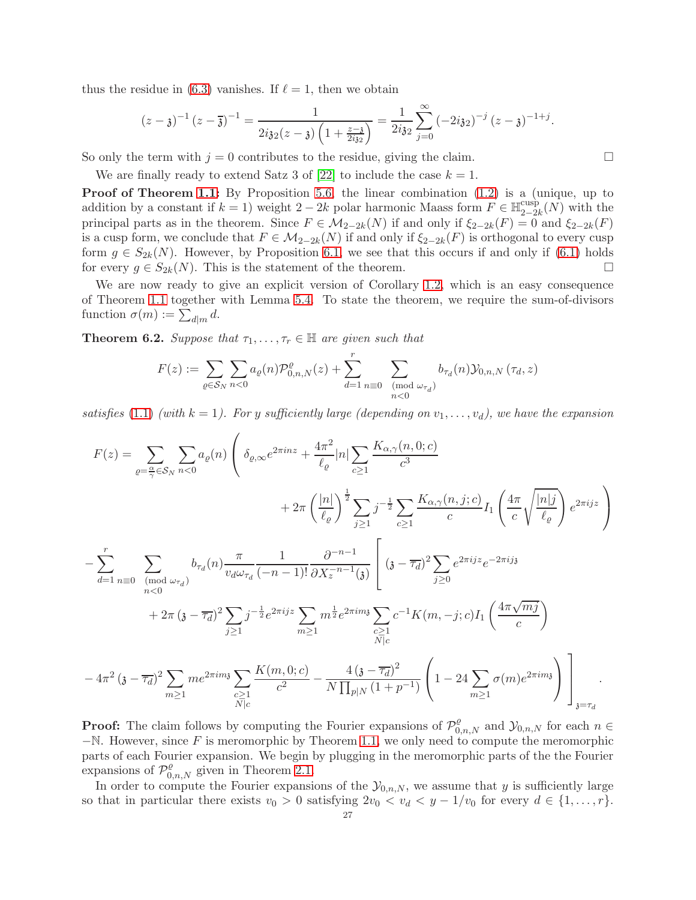thus the residue in [\(6.3\)](#page-25-1) vanishes. If  $\ell = 1$ , then we obtain

$$
(z-\mathfrak{z})^{-1} (z-\overline{\mathfrak{z}})^{-1} = \frac{1}{2i\mathfrak{z}_2(z-\mathfrak{z}) \left(1+\frac{z-\mathfrak{z}}{2i\mathfrak{z}_2}\right)} = \frac{1}{2i\mathfrak{z}_2} \sum_{j=0}^{\infty} (-2i\mathfrak{z}_2)^{-j} (z-\mathfrak{z})^{-1+j}.
$$

So only the term with  $j = 0$  contributes to the residue, giving the claim.

We are finally ready to extend Satz 3 of [\[22\]](#page-27-0) to include the case  $k = 1$ .

Proof of Theorem [1.1:](#page-1-0) By Proposition [5.6,](#page-24-1) the linear combination  $(1.2)$  is a (unique, up to addition by a constant if  $k = 1$ ) weight 2 – 2k polar harmonic Maass form  $F \in \mathbb{H}_{2-2}^{\text{cusp}}$  $\frac{\text{cusp}}{2-2k}(N)$  with the principal parts as in the theorem. Since  $F \in M_{2-2k}(N)$  if and only if  $\xi_{2-2k}(F) = 0$  and  $\xi_{2-2k}(F)$ is a cusp form, we conclude that  $F \in M_{2-2k}(N)$  if and only if  $\xi_{2-2k}(F)$  is orthogonal to every cusp form  $g \in S_{2k}(N)$ . However, by Proposition [6.1,](#page-25-2) we see that this occurs if and only if [\(6.1\)](#page-25-3) holds for every  $g \in S_{2k}(N)$ . This is the statement of the theorem. for every  $g \in S_{2k}(N)$ . This is the statement of the theorem.

We are now ready to give an explicit version of Corollary [1.2,](#page-2-1) which is an easy consequence of Theorem [1.1](#page-1-0) together with Lemma [5.4.](#page-20-0) To state the theorem, we require the sum-of-divisors function  $\sigma(m) := \sum_{d|m} d$ .

<span id="page-26-0"></span>**Theorem 6.2.** Suppose that  $\tau_1, \ldots, \tau_r \in \mathbb{H}$  are given such that

$$
F(z) := \sum_{\varrho \in \mathcal{S}_N} \sum_{n < 0} a_{\varrho}(n) \mathcal{P}_{0,n,N}^{\varrho}(z) + \sum_{d=1}^r \sum_{n \equiv 0 \pmod{\omega_{\tau_d}}} b_{\tau_d}(n) \mathcal{Y}_{0,n,N}(\tau_d, z)
$$

satisfies [\(1.1\)](#page-2-0) (with  $k = 1$ ). For y sufficiently large (depending on  $v_1, \ldots, v_d$ ), we have the expansion

$$
F(z) = \sum_{\varrho=\frac{\alpha}{\gamma}\in S_{N}} \sum_{n<0} a_{\varrho}(n) \left( \delta_{\varrho,\infty} e^{2\pi i n z} + \frac{4\pi^{2}}{\ell_{\varrho}} |n| \sum_{c\geq 1} \frac{K_{\alpha,\gamma}(n,0;c)}{c^{3}} + 2\pi \left( \frac{|n|}{\ell_{\varrho}} \right)^{\frac{1}{2}} \sum_{j\geq 1} j^{-\frac{1}{2}} \sum_{c\geq 1} \frac{K_{\alpha,\gamma}(n,j;c)}{c} I_{1} \left( \frac{4\pi}{c} \sqrt{\frac{|n|j}{\ell_{\varrho}}} \right) e^{2\pi i j z} \right)
$$

$$
- \sum_{d=1}^{r} \sum_{n\geq 0} \sum_{\substack{(mod \omega_{\tau_{d}})}} b_{\tau_{d}}(n) \frac{\pi}{v_{d}\omega_{\tau_{d}}} \frac{1}{(-n-1)!} \frac{\partial^{-n-1}}{\partial X_{z}^{-n-1}(3)} \left[ (3-\overline{\tau_{d}})^{2} \sum_{j\geq 0} e^{2\pi i j z} e^{-2\pi i j s} - 2\pi i j s \right]
$$

$$
+ 2\pi (3-\overline{\tau_{d}})^{2} \sum_{j\geq 1} j^{-\frac{1}{2}} e^{2\pi i j z} \sum_{m\geq 1} m^{\frac{1}{2}} e^{2\pi i m s} \sum_{\substack{c\geq 1 \\ N|c}} c^{-1} K(m,-j;c) I_{1} \left( \frac{4\pi \sqrt{mj}}{c} \right)
$$

$$
-4\pi^{2} (3-\overline{\tau_{d}})^{2} \sum_{m\geq 1} m e^{2\pi i m s} \sum_{\substack{c\geq 1 \\ N|c}} \frac{K(m,0;c)}{c^{2}} - \frac{4 (3-\overline{\tau_{d}})^{2}}{N \prod_{p|N} (1+p^{-1})} \left( 1 - 24 \sum_{m\geq 1} \sigma(m) e^{2\pi i m s} \right) \Bigg]_{3=\tau_{d}}.
$$

**Proof:** The claim follows by computing the Fourier expansions of  $\mathcal{P}^{\rho}_{0,n,N}$  and  $\mathcal{Y}_{0,n,N}$  for each  $n \in \mathbb{R}$  $-\mathbb{N}$ . However, since F is meromorphic by Theorem [1.1,](#page-1-0) we only need to compute the meromorphic parts of each Fourier expansion. We begin by plugging in the meromorphic parts of the the Fourier expansions of  $\mathcal{P}^{\rho}_{0,n,N}$  given in Theorem [2.1.](#page-6-2)

In order to compute the Fourier expansions of the  $\mathcal{Y}_{0,n,N}$ , we assume that y is sufficiently large so that in particular there exists  $v_0 > 0$  satisfying  $2v_0 < v_d < y - 1/v_0$  for every  $d \in \{1, \ldots, r\}$ .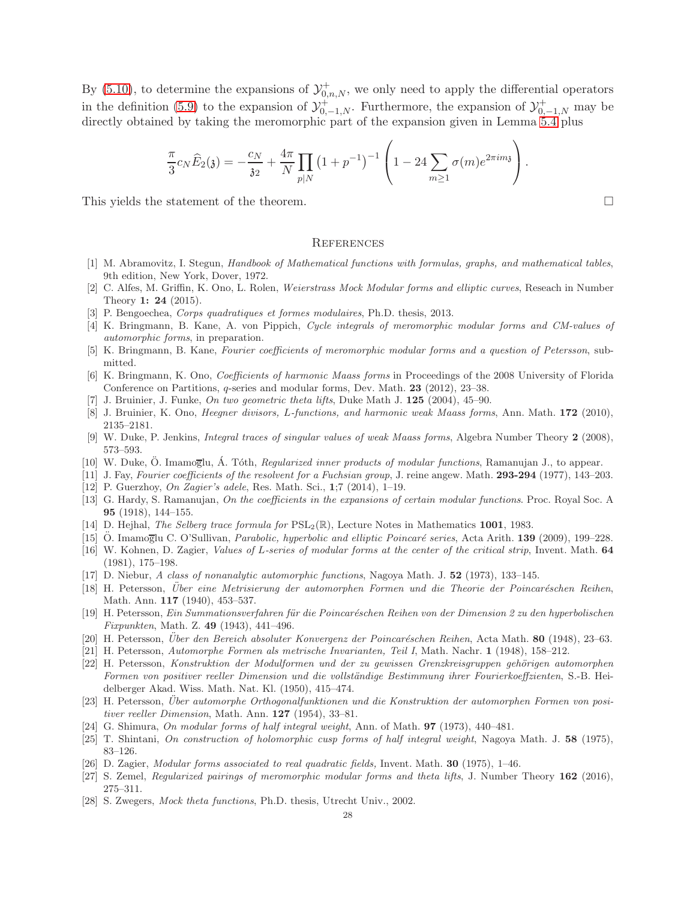By [\(5.10\)](#page-23-1), to determine the expansions of  $\mathcal{Y}_{0,n,N}^+$ , we only need to apply the differential operators in the definition [\(5.9\)](#page-22-0) to the expansion of  $\mathcal{Y}^+_{0,-1,N}$ . Furthermore, the expansion of  $\mathcal{Y}^+_{0,-1,N}$  may be directly obtained by taking the meromorphic part of the expansion given in Lemma  $5.4$  plus

$$
\frac{\pi}{3}c_N\widehat{E}_2(\mathfrak{z}) = -\frac{c_N}{\mathfrak{z}_2} + \frac{4\pi}{N} \prod_{p|N} \left(1 + p^{-1}\right)^{-1} \left(1 - 24 \sum_{m \geq 1} \sigma(m) e^{2\pi im \mathfrak{z}}\right).
$$

This yields the statement of the theorem.

### **REFERENCES**

- <span id="page-27-26"></span><span id="page-27-7"></span>[1] M. Abramovitz, I. Stegun, Handbook of Mathematical functions with formulas, graphs, and mathematical tables, 9th edition, New York, Dover, 1972.
- [2] C. Alfes, M. Griffin, K. Ono, L. Rolen, Weierstrass Mock Modular forms and elliptic curves, Reseach in Number Theory 1: 24 (2015).
- <span id="page-27-19"></span><span id="page-27-18"></span>[3] P. Bengoechea, Corps quadratiques et formes modulaires, Ph.D. thesis, 2013.
- [4] K. Bringmann, B. Kane, A. von Pippich, Cycle integrals of meromorphic modular forms and CM-values of automorphic forms, in preparation.
- <span id="page-27-23"></span><span id="page-27-13"></span>[5] K. Bringmann, B. Kane, Fourier coefficients of meromorphic modular forms and a question of Petersson, submitted.
- [6] K. Bringmann, K. Ono, Coefficients of harmonic Maass forms in Proceedings of the 2008 University of Florida Conference on Partitions, q-series and modular forms, Dev. Math. 23 (2012), 23–38.
- <span id="page-27-4"></span><span id="page-27-2"></span>J. Bruinier, J. Funke, On two geometric theta lifts, Duke Math J. 125 (2004), 45–90.
- <span id="page-27-6"></span>[8] J. Bruinier, K. Ono, Heegner divisors, L-functions, and harmonic weak Maass forms, Ann. Math. 172 (2010), 2135–2181.
- <span id="page-27-5"></span>[9] W. Duke, P. Jenkins, Integral traces of singular values of weak Maass forms, Algebra Number Theory 2 (2008), 573–593.
- <span id="page-27-22"></span>[10] W. Duke, Ö. Imamoglu, Á. Tóth, Regularized inner products of modular functions, Ramanujan J., to appear.
- <span id="page-27-8"></span>[11] J. Fay, Fourier coefficients of the resolvent for a Fuchsian group, J. reine angew. Math. 293-294 (1977), 143-203.
- [12] P. Guerzhoy, On Zagier's adele, Res. Math. Sci., 1;7 (2014), 1–19.
- [13] G. Hardy, S. Ramanujan, On the coefficients in the expansions of certain modular functions. Proc. Royal Soc. A 95 (1918), 144–155.
- <span id="page-27-11"></span><span id="page-27-10"></span>[14] D. Hejhal, The Selberg trace formula for  $PSL_2(\mathbb{R})$ , Lecture Notes in Mathematics 1001, 1983.
- <span id="page-27-15"></span>[15] O. Imamoglu C. O'Sullivan, Parabolic, hyperbolic and elliptic Poincaré series, Acta Arith. 139 (2009), 199–228.
- [16] W. Kohnen, D. Zagier, *Values of L-series of modular forms at the center of the critical strip*, Invent. Math. 64 (1981), 175–198.
- <span id="page-27-25"></span><span id="page-27-12"></span>[17] D. Niebur, A class of nonanalytic automorphic functions, Nagoya Math. J. 52 (1973), 133–145.
- [18] H. Petersson, Über eine Metrisierung der automorphen Formen und die Theorie der Poincaréschen Reihen, Math. Ann. 117 (1940), 453–537.
- <span id="page-27-9"></span>[19] H. Petersson, Ein Summationsverfahren für die Poincaréschen Reihen von der Dimension 2 zu den hyperbolischen Fixpunkten, Math. Z. 49 (1943), 441–496.
- <span id="page-27-24"></span><span id="page-27-21"></span>[20] H. Petersson, Über den Bereich absoluter Konvergenz der Poincaréschen Reihen, Acta Math. 80 (1948), 23–63.
- <span id="page-27-0"></span>[21] H. Petersson, Automorphe Formen als metrische Invarianten, Teil I, Math. Nachr. 1 (1948), 158–212.
- [22] H. Petersson, Konstruktion der Modulformen und der zu gewissen Grenzkreisgruppen gehörigen automorphen Formen von positiver reeller Dimension und die vollständige Bestimmung ihrer Fourierkoeffzienten, S.-B. Heidelberger Akad. Wiss. Math. Nat. Kl. (1950), 415–474.
- <span id="page-27-1"></span>[23] H. Petersson, Über automorphe Orthogonalfunktionen und die Konstruktion der automorphen Formen von positiver reeller Dimension, Math. Ann. 127 (1954), 33-81.
- <span id="page-27-17"></span><span id="page-27-16"></span>[24] G. Shimura, On modular forms of half integral weight, Ann. of Math. 97 (1973), 440–481.
- <span id="page-27-14"></span>[25] T. Shintani, On construction of holomorphic cusp forms of half integral weight, Nagoya Math. J. 58 (1975), 83–126.
- <span id="page-27-20"></span>[26] D. Zagier, Modular forms associated to real quadratic fields, Invent. Math. 30 (1975), 1–46.
- <span id="page-27-3"></span>[27] S. Zemel, Regularized pairings of meromorphic modular forms and theta lifts, J. Number Theory 162 (2016), 275–311.
- [28] S. Zwegers, Mock theta functions, Ph.D. thesis, Utrecht Univ., 2002.